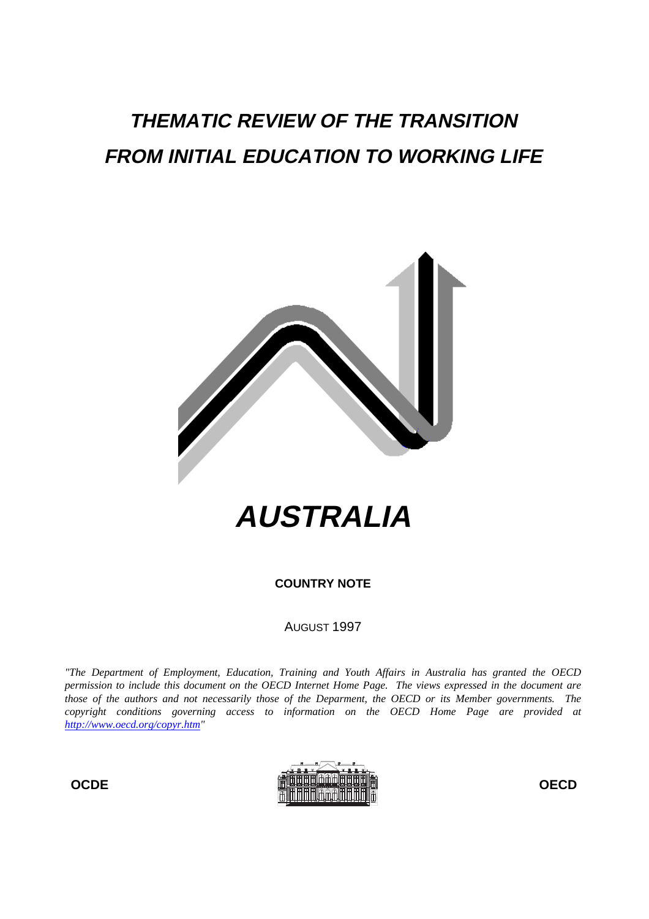# **THEMATIC REVIEW OF THE TRANSITION FROM INITIAL EDUCATION TO WORKING LIFE**



**COUNTRY NOTE**

AUGUST 1997

*"The Department of Employment, Education, Training and Youth Affairs in Australia has granted the OECD permission to include this document on the OECD Internet Home Page. The views expressed in the document are those of the authors and not necessarily those of the Deparment, the OECD or its Member governments. The copyright conditions governing access to information on the OECD Home Page are provided at http://www.oecd.org/copyr.htm"*

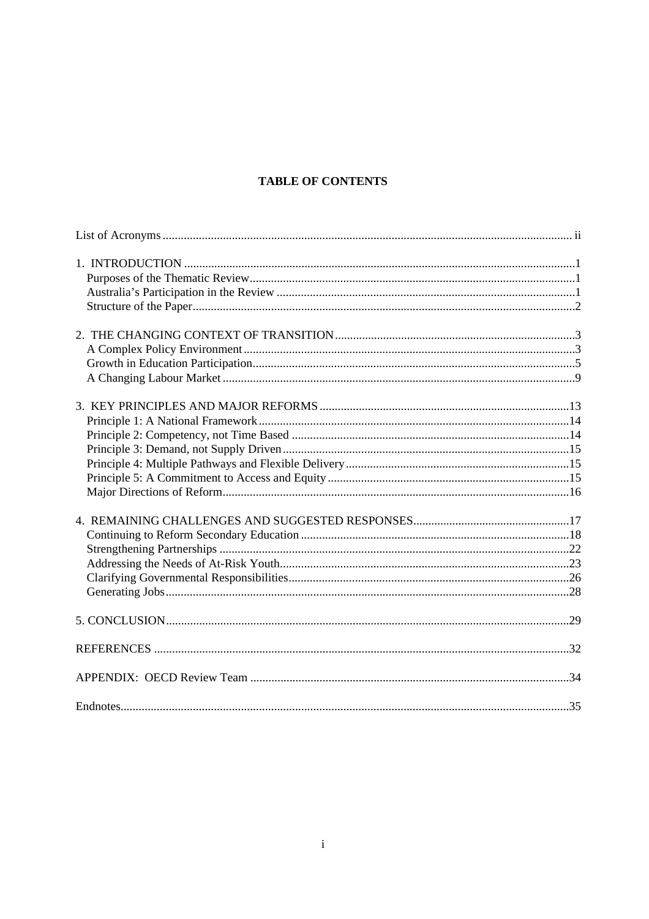# **TABLE OF CONTENTS**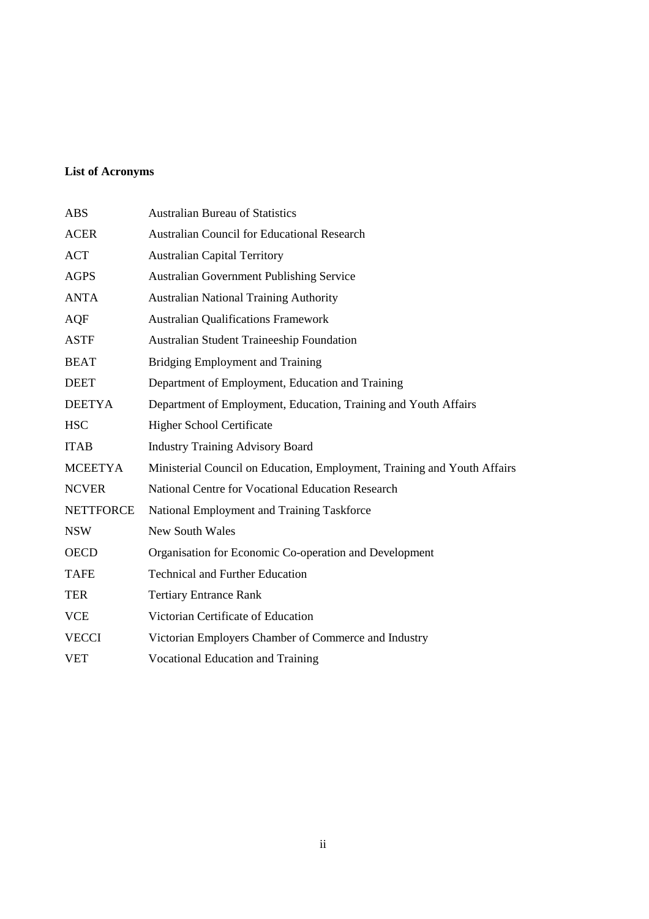# **List of Acronyms**

| <b>ABS</b>       | <b>Australian Bureau of Statistics</b>                                   |
|------------------|--------------------------------------------------------------------------|
| <b>ACER</b>      | <b>Australian Council for Educational Research</b>                       |
| <b>ACT</b>       | <b>Australian Capital Territory</b>                                      |
| <b>AGPS</b>      | <b>Australian Government Publishing Service</b>                          |
| <b>ANTA</b>      | <b>Australian National Training Authority</b>                            |
| <b>AQF</b>       | <b>Australian Qualifications Framework</b>                               |
| <b>ASTF</b>      | <b>Australian Student Traineeship Foundation</b>                         |
| <b>BEAT</b>      | <b>Bridging Employment and Training</b>                                  |
| <b>DEET</b>      | Department of Employment, Education and Training                         |
| <b>DEETYA</b>    | Department of Employment, Education, Training and Youth Affairs          |
| <b>HSC</b>       | <b>Higher School Certificate</b>                                         |
| <b>ITAB</b>      | <b>Industry Training Advisory Board</b>                                  |
| <b>MCEETYA</b>   | Ministerial Council on Education, Employment, Training and Youth Affairs |
| <b>NCVER</b>     | National Centre for Vocational Education Research                        |
| <b>NETTFORCE</b> | National Employment and Training Taskforce                               |
| <b>NSW</b>       | <b>New South Wales</b>                                                   |
| <b>OECD</b>      | Organisation for Economic Co-operation and Development                   |
| <b>TAFE</b>      | <b>Technical and Further Education</b>                                   |
| <b>TER</b>       | <b>Tertiary Entrance Rank</b>                                            |
| <b>VCE</b>       | Victorian Certificate of Education                                       |
| <b>VECCI</b>     | Victorian Employers Chamber of Commerce and Industry                     |
| <b>VET</b>       | <b>Vocational Education and Training</b>                                 |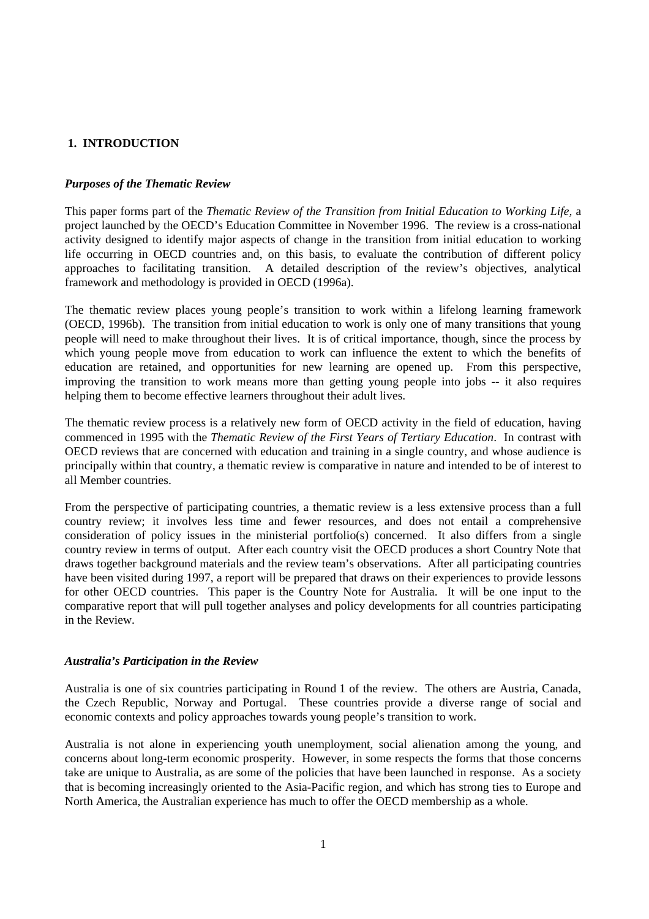# **1. INTRODUCTION**

## *Purposes of the Thematic Review*

This paper forms part of the *Thematic Review of the Transition from Initial Education to Working Life,* a project launched by the OECD's Education Committee in November 1996. The review is a cross-national activity designed to identify major aspects of change in the transition from initial education to working life occurring in OECD countries and, on this basis, to evaluate the contribution of different policy approaches to facilitating transition. A detailed description of the review's objectives, analytical framework and methodology is provided in OECD (1996a).

The thematic review places young people's transition to work within a lifelong learning framework (OECD, 1996b). The transition from initial education to work is only one of many transitions that young people will need to make throughout their lives. It is of critical importance, though, since the process by which young people move from education to work can influence the extent to which the benefits of education are retained, and opportunities for new learning are opened up. From this perspective, improving the transition to work means more than getting young people into jobs -- it also requires helping them to become effective learners throughout their adult lives.

The thematic review process is a relatively new form of OECD activity in the field of education, having commenced in 1995 with the *Thematic Review of the First Years of Tertiary Education*. In contrast with OECD reviews that are concerned with education and training in a single country, and whose audience is principally within that country, a thematic review is comparative in nature and intended to be of interest to all Member countries.

From the perspective of participating countries, a thematic review is a less extensive process than a full country review; it involves less time and fewer resources, and does not entail a comprehensive consideration of policy issues in the ministerial portfolio(s) concerned. It also differs from a single country review in terms of output. After each country visit the OECD produces a short Country Note that draws together background materials and the review team's observations. After all participating countries have been visited during 1997, a report will be prepared that draws on their experiences to provide lessons for other OECD countries. This paper is the Country Note for Australia. It will be one input to the comparative report that will pull together analyses and policy developments for all countries participating in the Review.

## *Australia's Participation in the Review*

Australia is one of six countries participating in Round 1 of the review. The others are Austria, Canada, the Czech Republic, Norway and Portugal. These countries provide a diverse range of social and economic contexts and policy approaches towards young people's transition to work.

Australia is not alone in experiencing youth unemployment, social alienation among the young, and concerns about long-term economic prosperity. However, in some respects the forms that those concerns take are unique to Australia, as are some of the policies that have been launched in response. As a society that is becoming increasingly oriented to the Asia-Pacific region, and which has strong ties to Europe and North America, the Australian experience has much to offer the OECD membership as a whole.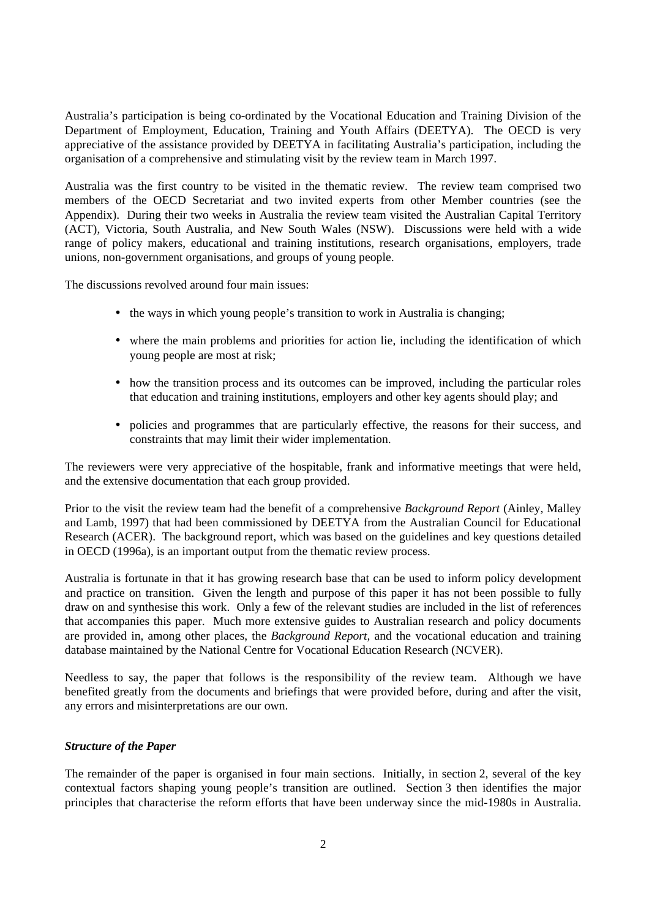Australia's participation is being co-ordinated by the Vocational Education and Training Division of the Department of Employment, Education, Training and Youth Affairs (DEETYA). The OECD is very appreciative of the assistance provided by DEETYA in facilitating Australia's participation, including the organisation of a comprehensive and stimulating visit by the review team in March 1997.

Australia was the first country to be visited in the thematic review. The review team comprised two members of the OECD Secretariat and two invited experts from other Member countries (see the Appendix). During their two weeks in Australia the review team visited the Australian Capital Territory (ACT), Victoria, South Australia, and New South Wales (NSW). Discussions were held with a wide range of policy makers, educational and training institutions, research organisations, employers, trade unions, non-government organisations, and groups of young people.

The discussions revolved around four main issues:

- the ways in which young people's transition to work in Australia is changing;
- where the main problems and priorities for action lie, including the identification of which young people are most at risk;
- how the transition process and its outcomes can be improved, including the particular roles that education and training institutions, employers and other key agents should play; and
- policies and programmes that are particularly effective, the reasons for their success, and constraints that may limit their wider implementation.

The reviewers were very appreciative of the hospitable, frank and informative meetings that were held, and the extensive documentation that each group provided.

Prior to the visit the review team had the benefit of a comprehensive *Background Report* (Ainley, Malley and Lamb, 1997) that had been commissioned by DEETYA from the Australian Council for Educational Research (ACER). The background report, which was based on the guidelines and key questions detailed in OECD (1996a), is an important output from the thematic review process.

Australia is fortunate in that it has growing research base that can be used to inform policy development and practice on transition. Given the length and purpose of this paper it has not been possible to fully draw on and synthesise this work. Only a few of the relevant studies are included in the list of references that accompanies this paper. Much more extensive guides to Australian research and policy documents are provided in, among other places, the *Background Report,* and the vocational education and training database maintained by the National Centre for Vocational Education Research (NCVER).

Needless to say, the paper that follows is the responsibility of the review team. Although we have benefited greatly from the documents and briefings that were provided before, during and after the visit, any errors and misinterpretations are our own.

## *Structure of the Paper*

The remainder of the paper is organised in four main sections. Initially, in section 2, several of the key contextual factors shaping young people's transition are outlined. Section 3 then identifies the major principles that characterise the reform efforts that have been underway since the mid-1980s in Australia.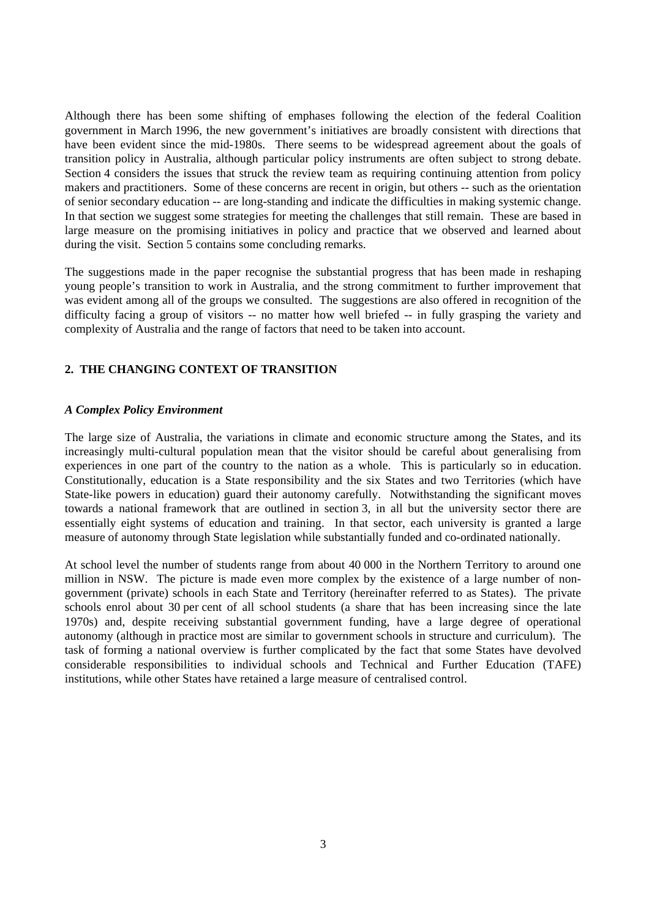Although there has been some shifting of emphases following the election of the federal Coalition government in March 1996, the new government's initiatives are broadly consistent with directions that have been evident since the mid-1980s. There seems to be widespread agreement about the goals of transition policy in Australia, although particular policy instruments are often subject to strong debate. Section 4 considers the issues that struck the review team as requiring continuing attention from policy makers and practitioners. Some of these concerns are recent in origin, but others -- such as the orientation of senior secondary education -- are long-standing and indicate the difficulties in making systemic change. In that section we suggest some strategies for meeting the challenges that still remain. These are based in large measure on the promising initiatives in policy and practice that we observed and learned about during the visit. Section 5 contains some concluding remarks.

The suggestions made in the paper recognise the substantial progress that has been made in reshaping young people's transition to work in Australia, and the strong commitment to further improvement that was evident among all of the groups we consulted. The suggestions are also offered in recognition of the difficulty facing a group of visitors -- no matter how well briefed -- in fully grasping the variety and complexity of Australia and the range of factors that need to be taken into account.

## **2. THE CHANGING CONTEXT OF TRANSITION**

#### *A Complex Policy Environment*

The large size of Australia, the variations in climate and economic structure among the States, and its increasingly multi-cultural population mean that the visitor should be careful about generalising from experiences in one part of the country to the nation as a whole. This is particularly so in education. Constitutionally, education is a State responsibility and the six States and two Territories (which have State-like powers in education) guard their autonomy carefully. Notwithstanding the significant moves towards a national framework that are outlined in section 3, in all but the university sector there are essentially eight systems of education and training. In that sector, each university is granted a large measure of autonomy through State legislation while substantially funded and co-ordinated nationally.

At school level the number of students range from about 40 000 in the Northern Territory to around one million in NSW. The picture is made even more complex by the existence of a large number of nongovernment (private) schools in each State and Territory (hereinafter referred to as States). The private schools enrol about 30 per cent of all school students (a share that has been increasing since the late 1970s) and, despite receiving substantial government funding, have a large degree of operational autonomy (although in practice most are similar to government schools in structure and curriculum). The task of forming a national overview is further complicated by the fact that some States have devolved considerable responsibilities to individual schools and Technical and Further Education (TAFE) institutions, while other States have retained a large measure of centralised control.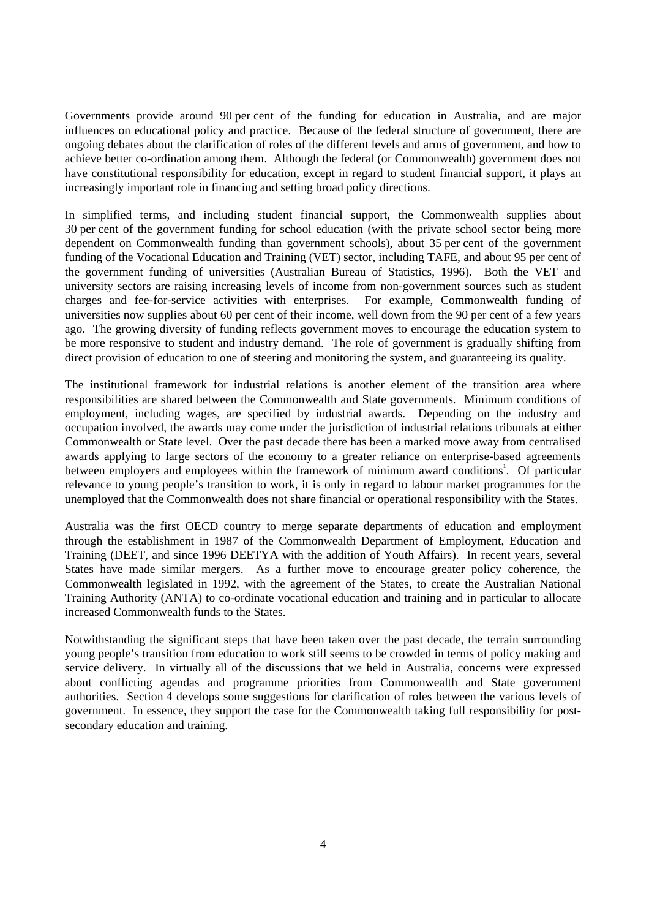Governments provide around 90 per cent of the funding for education in Australia, and are major influences on educational policy and practice. Because of the federal structure of government, there are ongoing debates about the clarification of roles of the different levels and arms of government, and how to achieve better co-ordination among them. Although the federal (or Commonwealth) government does not have constitutional responsibility for education, except in regard to student financial support, it plays an increasingly important role in financing and setting broad policy directions.

In simplified terms, and including student financial support, the Commonwealth supplies about 30 per cent of the government funding for school education (with the private school sector being more dependent on Commonwealth funding than government schools), about 35 per cent of the government funding of the Vocational Education and Training (VET) sector, including TAFE, and about 95 per cent of the government funding of universities (Australian Bureau of Statistics, 1996). Both the VET and university sectors are raising increasing levels of income from non-government sources such as student charges and fee-for-service activities with enterprises. For example, Commonwealth funding of universities now supplies about 60 per cent of their income, well down from the 90 per cent of a few years ago. The growing diversity of funding reflects government moves to encourage the education system to be more responsive to student and industry demand. The role of government is gradually shifting from direct provision of education to one of steering and monitoring the system, and guaranteeing its quality.

The institutional framework for industrial relations is another element of the transition area where responsibilities are shared between the Commonwealth and State governments. Minimum conditions of employment, including wages, are specified by industrial awards. Depending on the industry and occupation involved, the awards may come under the jurisdiction of industrial relations tribunals at either Commonwealth or State level. Over the past decade there has been a marked move away from centralised awards applying to large sectors of the economy to a greater reliance on enterprise-based agreements between employers and employees within the framework of minimum award conditions<sup>1</sup>. Of particular relevance to young people's transition to work, it is only in regard to labour market programmes for the unemployed that the Commonwealth does not share financial or operational responsibility with the States.

Australia was the first OECD country to merge separate departments of education and employment through the establishment in 1987 of the Commonwealth Department of Employment, Education and Training (DEET, and since 1996 DEETYA with the addition of Youth Affairs). In recent years, several States have made similar mergers. As a further move to encourage greater policy coherence, the Commonwealth legislated in 1992, with the agreement of the States, to create the Australian National Training Authority (ANTA) to co-ordinate vocational education and training and in particular to allocate increased Commonwealth funds to the States.

Notwithstanding the significant steps that have been taken over the past decade, the terrain surrounding young people's transition from education to work still seems to be crowded in terms of policy making and service delivery. In virtually all of the discussions that we held in Australia, concerns were expressed about conflicting agendas and programme priorities from Commonwealth and State government authorities. Section 4 develops some suggestions for clarification of roles between the various levels of government. In essence, they support the case for the Commonwealth taking full responsibility for postsecondary education and training.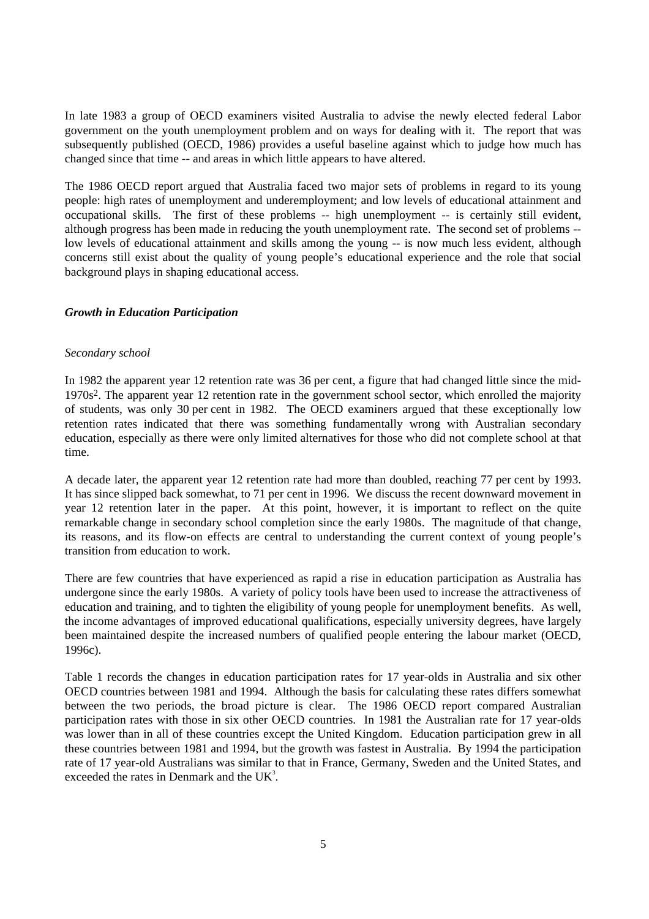In late 1983 a group of OECD examiners visited Australia to advise the newly elected federal Labor government on the youth unemployment problem and on ways for dealing with it. The report that was subsequently published (OECD, 1986) provides a useful baseline against which to judge how much has changed since that time -- and areas in which little appears to have altered.

The 1986 OECD report argued that Australia faced two major sets of problems in regard to its young people: high rates of unemployment and underemployment; and low levels of educational attainment and occupational skills. The first of these problems -- high unemployment -- is certainly still evident, although progress has been made in reducing the youth unemployment rate. The second set of problems - low levels of educational attainment and skills among the young -- is now much less evident, although concerns still exist about the quality of young people's educational experience and the role that social background plays in shaping educational access.

## *Growth in Education Participation*

## *Secondary school*

In 1982 the apparent year 12 retention rate was 36 per cent, a figure that had changed little since the mid-1970s2. The apparent year 12 retention rate in the government school sector, which enrolled the majority of students, was only 30 per cent in 1982. The OECD examiners argued that these exceptionally low retention rates indicated that there was something fundamentally wrong with Australian secondary education, especially as there were only limited alternatives for those who did not complete school at that time.

A decade later, the apparent year 12 retention rate had more than doubled, reaching 77 per cent by 1993. It has since slipped back somewhat, to 71 per cent in 1996. We discuss the recent downward movement in year 12 retention later in the paper. At this point, however, it is important to reflect on the quite remarkable change in secondary school completion since the early 1980s. The magnitude of that change, its reasons, and its flow-on effects are central to understanding the current context of young people's transition from education to work.

There are few countries that have experienced as rapid a rise in education participation as Australia has undergone since the early 1980s. A variety of policy tools have been used to increase the attractiveness of education and training, and to tighten the eligibility of young people for unemployment benefits. As well, the income advantages of improved educational qualifications, especially university degrees, have largely been maintained despite the increased numbers of qualified people entering the labour market (OECD, 1996c).

Table 1 records the changes in education participation rates for 17 year-olds in Australia and six other OECD countries between 1981 and 1994. Although the basis for calculating these rates differs somewhat between the two periods, the broad picture is clear. The 1986 OECD report compared Australian participation rates with those in six other OECD countries. In 1981 the Australian rate for 17 year-olds was lower than in all of these countries except the United Kingdom. Education participation grew in all these countries between 1981 and 1994, but the growth was fastest in Australia. By 1994 the participation rate of 17 year-old Australians was similar to that in France, Germany, Sweden and the United States, and exceeded the rates in Denmark and the  $UK<sup>3</sup>$ .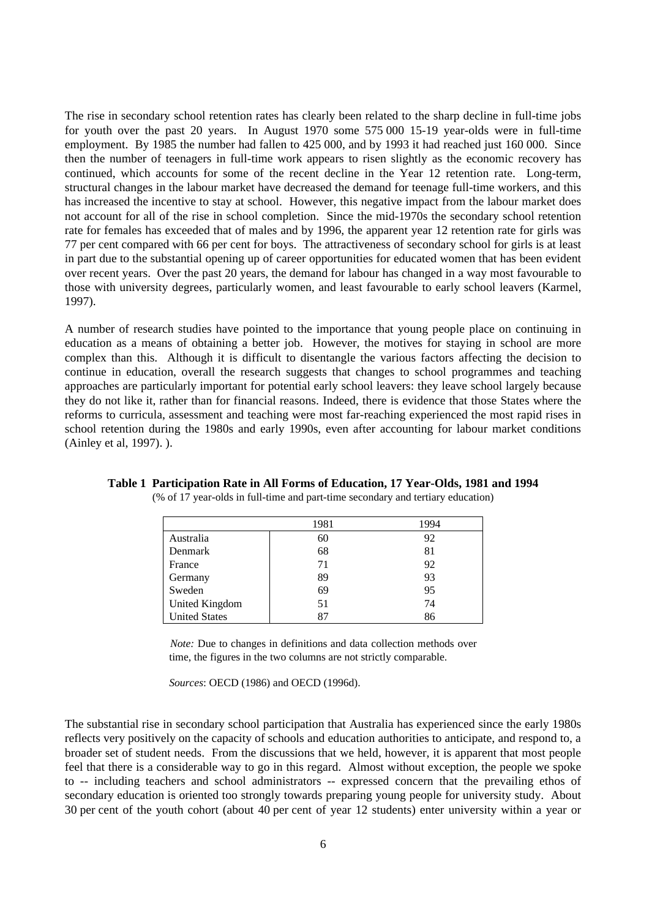The rise in secondary school retention rates has clearly been related to the sharp decline in full-time jobs for youth over the past 20 years. In August 1970 some 575 000 15-19 year-olds were in full-time employment. By 1985 the number had fallen to 425 000, and by 1993 it had reached just 160 000. Since then the number of teenagers in full-time work appears to risen slightly as the economic recovery has continued, which accounts for some of the recent decline in the Year 12 retention rate. Long-term, structural changes in the labour market have decreased the demand for teenage full-time workers, and this has increased the incentive to stay at school. However, this negative impact from the labour market does not account for all of the rise in school completion. Since the mid-1970s the secondary school retention rate for females has exceeded that of males and by 1996, the apparent year 12 retention rate for girls was 77 per cent compared with 66 per cent for boys. The attractiveness of secondary school for girls is at least in part due to the substantial opening up of career opportunities for educated women that has been evident over recent years. Over the past 20 years, the demand for labour has changed in a way most favourable to those with university degrees, particularly women, and least favourable to early school leavers (Karmel, 1997).

A number of research studies have pointed to the importance that young people place on continuing in education as a means of obtaining a better job. However, the motives for staying in school are more complex than this. Although it is difficult to disentangle the various factors affecting the decision to continue in education, overall the research suggests that changes to school programmes and teaching approaches are particularly important for potential early school leavers: they leave school largely because they do not like it, rather than for financial reasons. Indeed, there is evidence that those States where the reforms to curricula, assessment and teaching were most far-reaching experienced the most rapid rises in school retention during the 1980s and early 1990s, even after accounting for labour market conditions (Ainley et al, 1997). ).

|                       | 1981 | 1994 |
|-----------------------|------|------|
| Australia             | 60   | 92   |
| Denmark               | 68   | 81   |
| France                | 71   | 92   |
| Germany               | 89   | 93   |
| Sweden                | 69   | 95   |
| <b>United Kingdom</b> | 51   | 74   |
| <b>United States</b>  | 87   | 86   |

#### **Table 1 Participation Rate in All Forms of Education, 17 Year-Olds, 1981 and 1994** (% of 17 year-olds in full-time and part-time secondary and tertiary education)

*Note:* Due to changes in definitions and data collection methods over time, the figures in the two columns are not strictly comparable.

*Sources*: OECD (1986) and OECD (1996d).

The substantial rise in secondary school participation that Australia has experienced since the early 1980s reflects very positively on the capacity of schools and education authorities to anticipate, and respond to, a broader set of student needs. From the discussions that we held, however, it is apparent that most people feel that there is a considerable way to go in this regard. Almost without exception, the people we spoke to -- including teachers and school administrators -- expressed concern that the prevailing ethos of secondary education is oriented too strongly towards preparing young people for university study. About 30 per cent of the youth cohort (about 40 per cent of year 12 students) enter university within a year or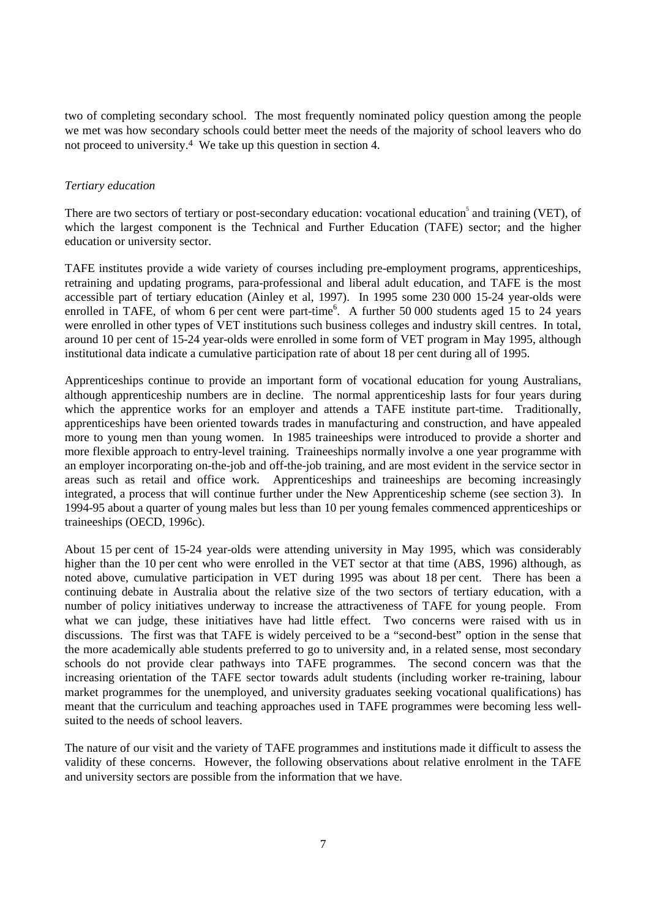two of completing secondary school. The most frequently nominated policy question among the people we met was how secondary schools could better meet the needs of the majority of school leavers who do not proceed to university.4 We take up this question in section 4.

## *Tertiary education*

There are two sectors of tertiary or post-secondary education: vocational education<sup>5</sup> and training (VET), of which the largest component is the Technical and Further Education (TAFE) sector; and the higher education or university sector.

TAFE institutes provide a wide variety of courses including pre-employment programs, apprenticeships, retraining and updating programs, para-professional and liberal adult education, and TAFE is the most accessible part of tertiary education (Ainley et al, 1997). In 1995 some 230 000 15-24 year-olds were enrolled in TAFE, of whom 6 per cent were part-time<sup>6</sup>. A further 50 000 students aged 15 to 24 years were enrolled in other types of VET institutions such business colleges and industry skill centres. In total, around 10 per cent of 15-24 year-olds were enrolled in some form of VET program in May 1995, although institutional data indicate a cumulative participation rate of about 18 per cent during all of 1995.

Apprenticeships continue to provide an important form of vocational education for young Australians, although apprenticeship numbers are in decline. The normal apprenticeship lasts for four years during which the apprentice works for an employer and attends a TAFE institute part-time. Traditionally, apprenticeships have been oriented towards trades in manufacturing and construction, and have appealed more to young men than young women. In 1985 traineeships were introduced to provide a shorter and more flexible approach to entry-level training. Traineeships normally involve a one year programme with an employer incorporating on-the-job and off-the-job training, and are most evident in the service sector in areas such as retail and office work. Apprenticeships and traineeships are becoming increasingly integrated, a process that will continue further under the New Apprenticeship scheme (see section 3). In 1994-95 about a quarter of young males but less than 10 per young females commenced apprenticeships or traineeships (OECD, 1996c).

About 15 per cent of 15-24 year-olds were attending university in May 1995, which was considerably higher than the 10 per cent who were enrolled in the VET sector at that time (ABS, 1996) although, as noted above, cumulative participation in VET during 1995 was about 18 per cent. There has been a continuing debate in Australia about the relative size of the two sectors of tertiary education, with a number of policy initiatives underway to increase the attractiveness of TAFE for young people. From what we can judge, these initiatives have had little effect. Two concerns were raised with us in discussions. The first was that TAFE is widely perceived to be a "second-best" option in the sense that the more academically able students preferred to go to university and, in a related sense, most secondary schools do not provide clear pathways into TAFE programmes. The second concern was that the increasing orientation of the TAFE sector towards adult students (including worker re-training, labour market programmes for the unemployed, and university graduates seeking vocational qualifications) has meant that the curriculum and teaching approaches used in TAFE programmes were becoming less wellsuited to the needs of school leavers.

The nature of our visit and the variety of TAFE programmes and institutions made it difficult to assess the validity of these concerns. However, the following observations about relative enrolment in the TAFE and university sectors are possible from the information that we have.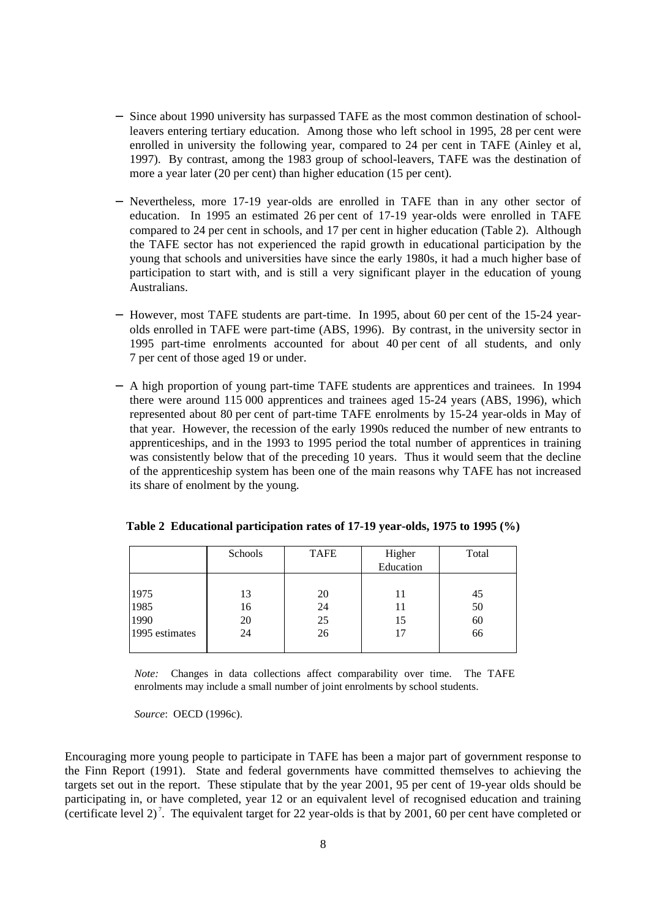- − Since about 1990 university has surpassed TAFE as the most common destination of schoolleavers entering tertiary education. Among those who left school in 1995, 28 per cent were enrolled in university the following year, compared to 24 per cent in TAFE (Ainley et al, 1997). By contrast, among the 1983 group of school-leavers, TAFE was the destination of more a year later (20 per cent) than higher education (15 per cent).
- − Nevertheless, more 17-19 year-olds are enrolled in TAFE than in any other sector of education. In 1995 an estimated 26 per cent of 17-19 year-olds were enrolled in TAFE compared to 24 per cent in schools, and 17 per cent in higher education (Table 2). Although the TAFE sector has not experienced the rapid growth in educational participation by the young that schools and universities have since the early 1980s, it had a much higher base of participation to start with, and is still a very significant player in the education of young Australians.
- − However, most TAFE students are part-time. In 1995, about 60 per cent of the 15-24 yearolds enrolled in TAFE were part-time (ABS, 1996). By contrast, in the university sector in 1995 part-time enrolments accounted for about 40 per cent of all students, and only 7 per cent of those aged 19 or under.
- − A high proportion of young part-time TAFE students are apprentices and trainees. In 1994 there were around 115 000 apprentices and trainees aged 15-24 years (ABS, 1996), which represented about 80 per cent of part-time TAFE enrolments by 15-24 year-olds in May of that year. However, the recession of the early 1990s reduced the number of new entrants to apprenticeships, and in the 1993 to 1995 period the total number of apprentices in training was consistently below that of the preceding 10 years. Thus it would seem that the decline of the apprenticeship system has been one of the main reasons why TAFE has not increased its share of enolment by the young.

|                | Schools | <b>TAFE</b> | Higher<br>Education | Total |
|----------------|---------|-------------|---------------------|-------|
|                |         |             |                     |       |
| 1975           | 13      | 20          | 11                  | 45    |
| 1985           | 16      | 24          | 11                  | 50    |
| 1990           | 20      | 25          | 15                  | 60    |
| 1995 estimates | 24      | 26          | 17                  | 66    |
|                |         |             |                     |       |

*Note:* Changes in data collections affect comparability over time. The TAFE enrolments may include a small number of joint enrolments by school students.

*Source*: OECD (1996c).

Encouraging more young people to participate in TAFE has been a major part of government response to the Finn Report (1991). State and federal governments have committed themselves to achieving the targets set out in the report. These stipulate that by the year 2001, 95 per cent of 19-year olds should be participating in, or have completed, year 12 or an equivalent level of recognised education and training (certificate level 2)<sup>7</sup>. The equivalent target for 22 year-olds is that by 2001, 60 per cent have completed or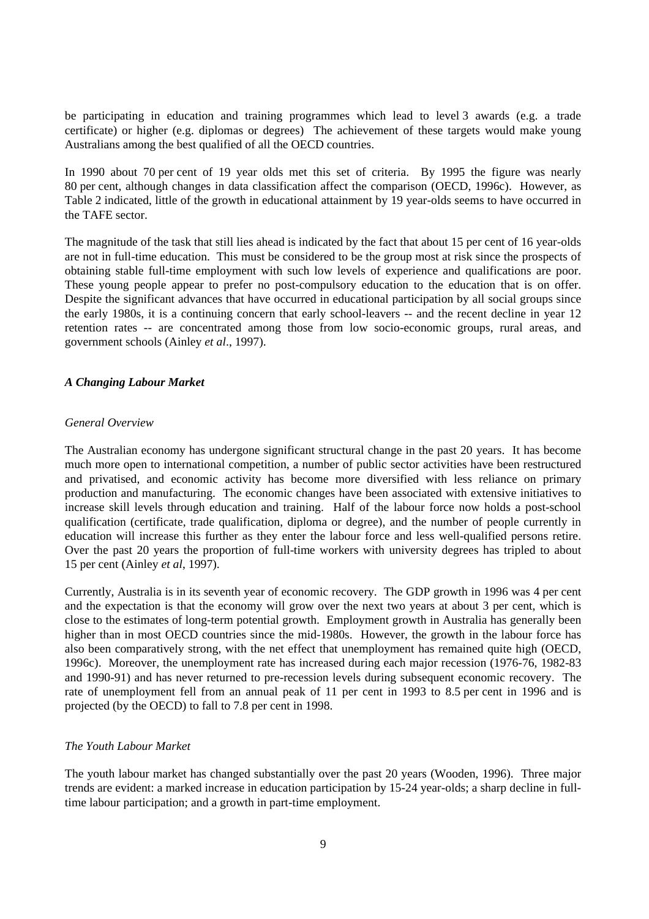be participating in education and training programmes which lead to level 3 awards (e.g. a trade certificate) or higher (e.g. diplomas or degrees) The achievement of these targets would make young Australians among the best qualified of all the OECD countries.

In 1990 about 70 per cent of 19 year olds met this set of criteria. By 1995 the figure was nearly 80 per cent, although changes in data classification affect the comparison (OECD, 1996c). However, as Table 2 indicated, little of the growth in educational attainment by 19 year-olds seems to have occurred in the TAFE sector.

The magnitude of the task that still lies ahead is indicated by the fact that about 15 per cent of 16 year-olds are not in full-time education. This must be considered to be the group most at risk since the prospects of obtaining stable full-time employment with such low levels of experience and qualifications are poor. These young people appear to prefer no post-compulsory education to the education that is on offer. Despite the significant advances that have occurred in educational participation by all social groups since the early 1980s, it is a continuing concern that early school-leavers -- and the recent decline in year 12 retention rates -- are concentrated among those from low socio-economic groups, rural areas, and government schools (Ainley *et al*., 1997).

## *A Changing Labour Market*

## *General Overview*

The Australian economy has undergone significant structural change in the past 20 years. It has become much more open to international competition, a number of public sector activities have been restructured and privatised, and economic activity has become more diversified with less reliance on primary production and manufacturing. The economic changes have been associated with extensive initiatives to increase skill levels through education and training. Half of the labour force now holds a post-school qualification (certificate, trade qualification, diploma or degree), and the number of people currently in education will increase this further as they enter the labour force and less well-qualified persons retire. Over the past 20 years the proportion of full-time workers with university degrees has tripled to about 15 per cent (Ainley *et al*, 1997).

Currently, Australia is in its seventh year of economic recovery. The GDP growth in 1996 was 4 per cent and the expectation is that the economy will grow over the next two years at about 3 per cent, which is close to the estimates of long-term potential growth. Employment growth in Australia has generally been higher than in most OECD countries since the mid-1980s. However, the growth in the labour force has also been comparatively strong, with the net effect that unemployment has remained quite high (OECD, 1996c). Moreover, the unemployment rate has increased during each major recession (1976-76, 1982-83 and 1990-91) and has never returned to pre-recession levels during subsequent economic recovery. The rate of unemployment fell from an annual peak of 11 per cent in 1993 to 8.5 per cent in 1996 and is projected (by the OECD) to fall to 7.8 per cent in 1998.

## *The Youth Labour Market*

The youth labour market has changed substantially over the past 20 years (Wooden, 1996). Three major trends are evident: a marked increase in education participation by 15-24 year-olds; a sharp decline in fulltime labour participation; and a growth in part-time employment.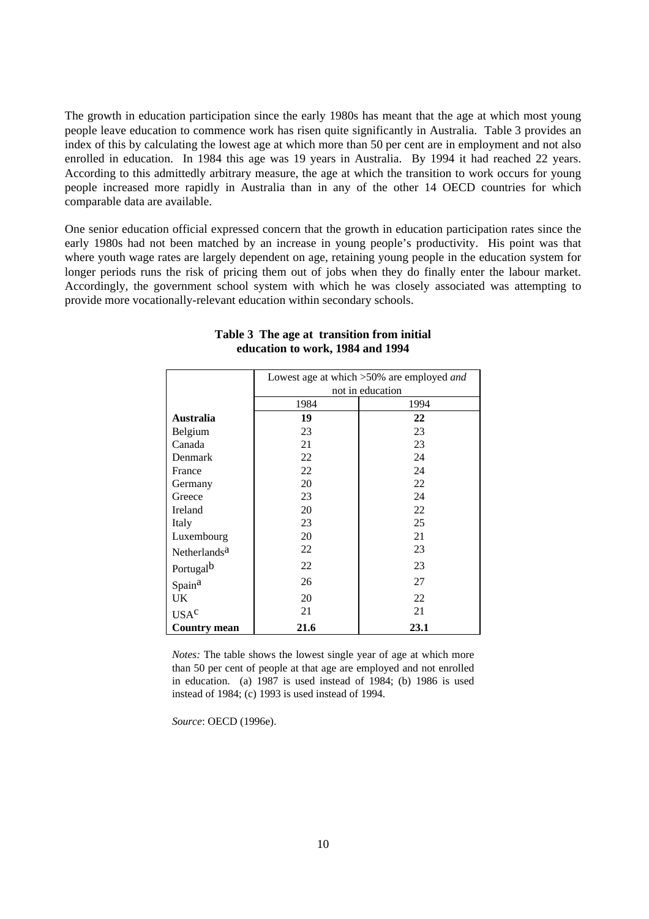The growth in education participation since the early 1980s has meant that the age at which most young people leave education to commence work has risen quite significantly in Australia. Table 3 provides an index of this by calculating the lowest age at which more than 50 per cent are in employment and not also enrolled in education. In 1984 this age was 19 years in Australia. By 1994 it had reached 22 years. According to this admittedly arbitrary measure, the age at which the transition to work occurs for young people increased more rapidly in Australia than in any of the other 14 OECD countries for which comparable data are available.

One senior education official expressed concern that the growth in education participation rates since the early 1980s had not been matched by an increase in young people's productivity. His point was that where youth wage rates are largely dependent on age, retaining young people in the education system for longer periods runs the risk of pricing them out of jobs when they do finally enter the labour market. Accordingly, the government school system with which he was closely associated was attempting to provide more vocationally-relevant education within secondary schools.

|                          | Lowest age at which >50% are employed <i>and</i> |      |  |  |
|--------------------------|--------------------------------------------------|------|--|--|
|                          | not in education                                 |      |  |  |
|                          | 1984                                             | 1994 |  |  |
| <b>Australia</b>         | 19                                               | 22   |  |  |
| Belgium                  | 23                                               | 23   |  |  |
| Canada                   | 21                                               | 23   |  |  |
| Denmark                  | 22                                               | 24   |  |  |
| France                   | 22                                               | 24   |  |  |
| Germany                  | 20                                               | 22   |  |  |
| Greece                   | 23                                               | 24   |  |  |
| Ireland                  | 20                                               | 22   |  |  |
| Italy                    | 23                                               | 25   |  |  |
| Luxembourg               | 20                                               | 21   |  |  |
| Netherlands <sup>a</sup> | 22                                               | 23   |  |  |
| Portugal <sup>b</sup>    | 22                                               | 23   |  |  |
| Spain <sup>a</sup>       | 26                                               | 27   |  |  |
| UK                       | 20                                               | 22   |  |  |
| USA <sup>c</sup>         | 21                                               | 21   |  |  |
| <b>Country mean</b>      | 21.6                                             | 23.1 |  |  |

## **Table 3 The age at transition from initial education to work, 1984 and 1994**

*Notes:* The table shows the lowest single year of age at which more than 50 per cent of people at that age are employed and not enrolled in education. (a) 1987 is used instead of 1984; (b) 1986 is used instead of 1984; (c) 1993 is used instead of 1994.

*Source*: OECD (1996e).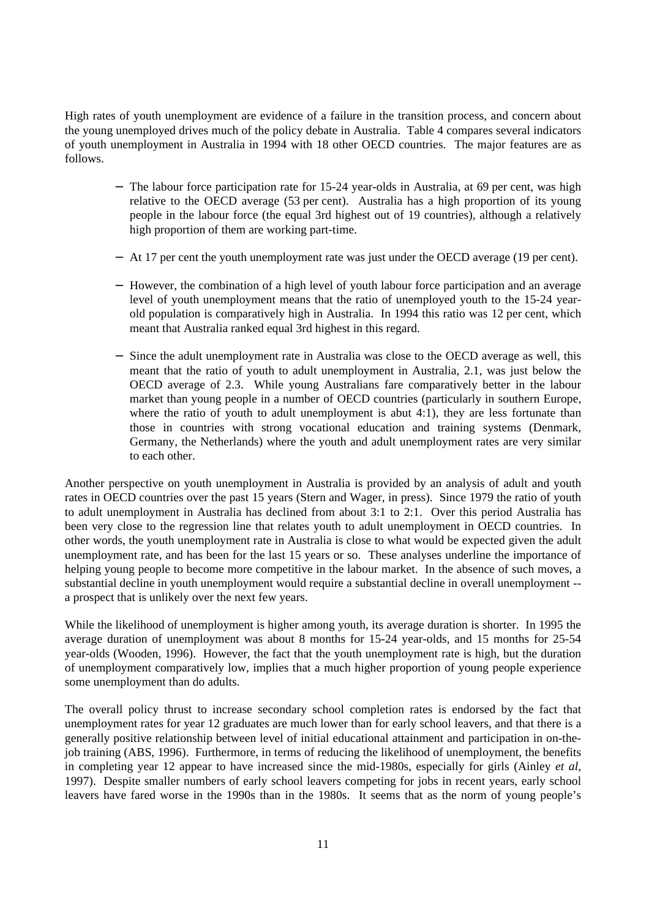High rates of youth unemployment are evidence of a failure in the transition process, and concern about the young unemployed drives much of the policy debate in Australia. Table 4 compares several indicators of youth unemployment in Australia in 1994 with 18 other OECD countries. The major features are as follows.

- − The labour force participation rate for 15-24 year-olds in Australia, at 69 per cent, was high relative to the OECD average (53 per cent). Australia has a high proportion of its young people in the labour force (the equal 3rd highest out of 19 countries), although a relatively high proportion of them are working part-time.
- − At 17 per cent the youth unemployment rate was just under the OECD average (19 per cent).
- − However, the combination of a high level of youth labour force participation and an average level of youth unemployment means that the ratio of unemployed youth to the 15-24 yearold population is comparatively high in Australia. In 1994 this ratio was 12 per cent, which meant that Australia ranked equal 3rd highest in this regard.
- − Since the adult unemployment rate in Australia was close to the OECD average as well, this meant that the ratio of youth to adult unemployment in Australia, 2.1, was just below the OECD average of 2.3. While young Australians fare comparatively better in the labour market than young people in a number of OECD countries (particularly in southern Europe, where the ratio of youth to adult unemployment is abut 4:1), they are less fortunate than those in countries with strong vocational education and training systems (Denmark, Germany, the Netherlands) where the youth and adult unemployment rates are very similar to each other.

Another perspective on youth unemployment in Australia is provided by an analysis of adult and youth rates in OECD countries over the past 15 years (Stern and Wager, in press). Since 1979 the ratio of youth to adult unemployment in Australia has declined from about 3:1 to 2:1. Over this period Australia has been very close to the regression line that relates youth to adult unemployment in OECD countries. In other words, the youth unemployment rate in Australia is close to what would be expected given the adult unemployment rate, and has been for the last 15 years or so. These analyses underline the importance of helping young people to become more competitive in the labour market. In the absence of such moves, a substantial decline in youth unemployment would require a substantial decline in overall unemployment - a prospect that is unlikely over the next few years.

While the likelihood of unemployment is higher among youth, its average duration is shorter. In 1995 the average duration of unemployment was about 8 months for 15-24 year-olds, and 15 months for 25-54 year-olds (Wooden, 1996). However, the fact that the youth unemployment rate is high, but the duration of unemployment comparatively low, implies that a much higher proportion of young people experience some unemployment than do adults.

The overall policy thrust to increase secondary school completion rates is endorsed by the fact that unemployment rates for year 12 graduates are much lower than for early school leavers, and that there is a generally positive relationship between level of initial educational attainment and participation in on-thejob training (ABS, 1996). Furthermore, in terms of reducing the likelihood of unemployment, the benefits in completing year 12 appear to have increased since the mid-1980s, especially for girls (Ainley *et al*, 1997). Despite smaller numbers of early school leavers competing for jobs in recent years, early school leavers have fared worse in the 1990s than in the 1980s. It seems that as the norm of young people's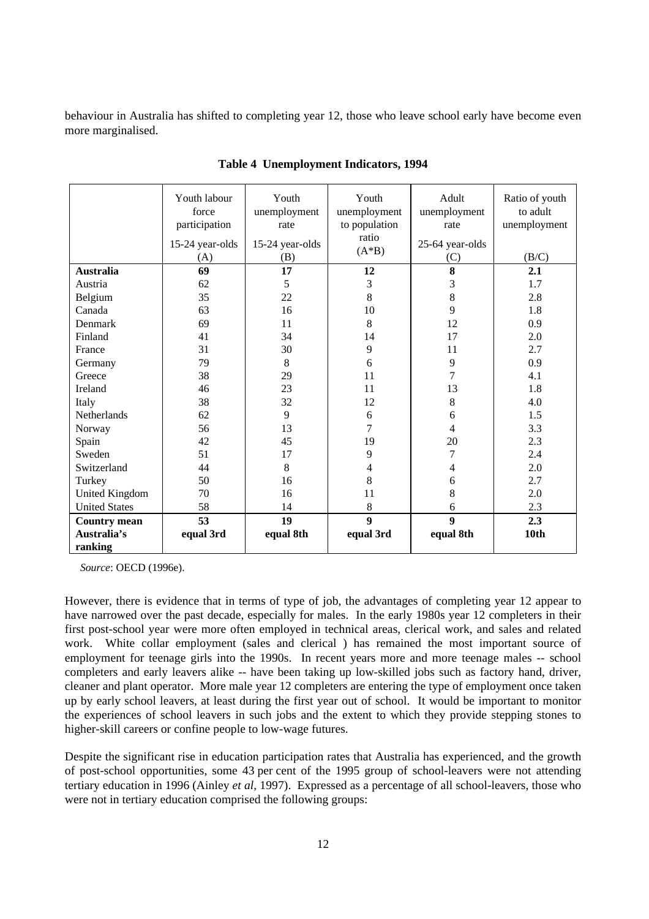behaviour in Australia has shifted to completing year 12, those who leave school early have become even more marginalised.

|                      | Youth labour<br>force<br>participation<br>15-24 year-olds<br>(A) | Youth<br>unemployment<br>rate<br>15-24 year-olds<br>(B) | Youth<br>unemployment<br>to population<br>ratio<br>$(A*B)$ | Adult<br>unemployment<br>rate<br>25-64 year-olds<br>(C) | Ratio of youth<br>to adult<br>unemployment<br>(B/C) |
|----------------------|------------------------------------------------------------------|---------------------------------------------------------|------------------------------------------------------------|---------------------------------------------------------|-----------------------------------------------------|
| <b>Australia</b>     | 69                                                               | 17                                                      | 12                                                         | 8                                                       | 2.1                                                 |
| Austria              | 62                                                               | 5                                                       | 3                                                          | 3                                                       | 1.7                                                 |
| Belgium              | 35                                                               | 22                                                      | 8                                                          | $8\,$                                                   | 2.8                                                 |
| Canada               | 63                                                               | 16                                                      | 10                                                         | 9                                                       | 1.8                                                 |
| Denmark              | 69                                                               | 11                                                      | 8                                                          | 12                                                      | 0.9                                                 |
| Finland              | 41                                                               | 34                                                      | 14                                                         | 17                                                      | 2.0                                                 |
| France               | 31                                                               | 30                                                      | 9                                                          | 11                                                      | 2.7                                                 |
| Germany              | 79                                                               | $8\,$                                                   | 6                                                          | 9                                                       | 0.9                                                 |
| Greece               | 38                                                               | 29                                                      | 11                                                         | 7                                                       | 4.1                                                 |
| Ireland              | 46                                                               | 23                                                      | 11                                                         | 13                                                      | 1.8                                                 |
| Italy                | 38                                                               | 32                                                      | 12                                                         | 8                                                       | 4.0                                                 |
| Netherlands          | 62                                                               | 9                                                       | 6                                                          | 6                                                       | 1.5                                                 |
| Norway               | 56                                                               | 13                                                      | $\overline{7}$                                             | 4                                                       | 3.3                                                 |
| Spain                | 42                                                               | 45                                                      | 19                                                         | 20                                                      | 2.3                                                 |
| Sweden               | 51                                                               | 17                                                      | 9                                                          | 7                                                       | 2.4                                                 |
| Switzerland          | 44                                                               | 8                                                       | 4                                                          | 4                                                       | 2.0                                                 |
| Turkey               | 50                                                               | 16                                                      | 8                                                          | 6                                                       | 2.7                                                 |
| United Kingdom       | 70                                                               | 16                                                      | 11                                                         | 8                                                       | 2.0                                                 |
| <b>United States</b> | 58                                                               | 14                                                      | 8                                                          | 6                                                       | 2.3                                                 |
| <b>Country mean</b>  | 53                                                               | 19                                                      | $\boldsymbol{9}$                                           | $\boldsymbol{9}$                                        | 2.3                                                 |
| Australia's          | equal 3rd                                                        | equal 8th                                               | equal 3rd                                                  | equal 8th                                               | 10th                                                |
| ranking              |                                                                  |                                                         |                                                            |                                                         |                                                     |

**Table 4 Unemployment Indicators, 1994**

*Source*: OECD (1996e).

However, there is evidence that in terms of type of job, the advantages of completing year 12 appear to have narrowed over the past decade, especially for males. In the early 1980s year 12 completers in their first post-school year were more often employed in technical areas, clerical work, and sales and related work. White collar employment (sales and clerical ) has remained the most important source of employment for teenage girls into the 1990s. In recent years more and more teenage males -- school completers and early leavers alike -- have been taking up low-skilled jobs such as factory hand, driver, cleaner and plant operator. More male year 12 completers are entering the type of employment once taken up by early school leavers, at least during the first year out of school. It would be important to monitor the experiences of school leavers in such jobs and the extent to which they provide stepping stones to higher-skill careers or confine people to low-wage futures.

Despite the significant rise in education participation rates that Australia has experienced, and the growth of post-school opportunities, some 43 per cent of the 1995 group of school-leavers were not attending tertiary education in 1996 (Ainley *et al*, 1997). Expressed as a percentage of all school-leavers, those who were not in tertiary education comprised the following groups: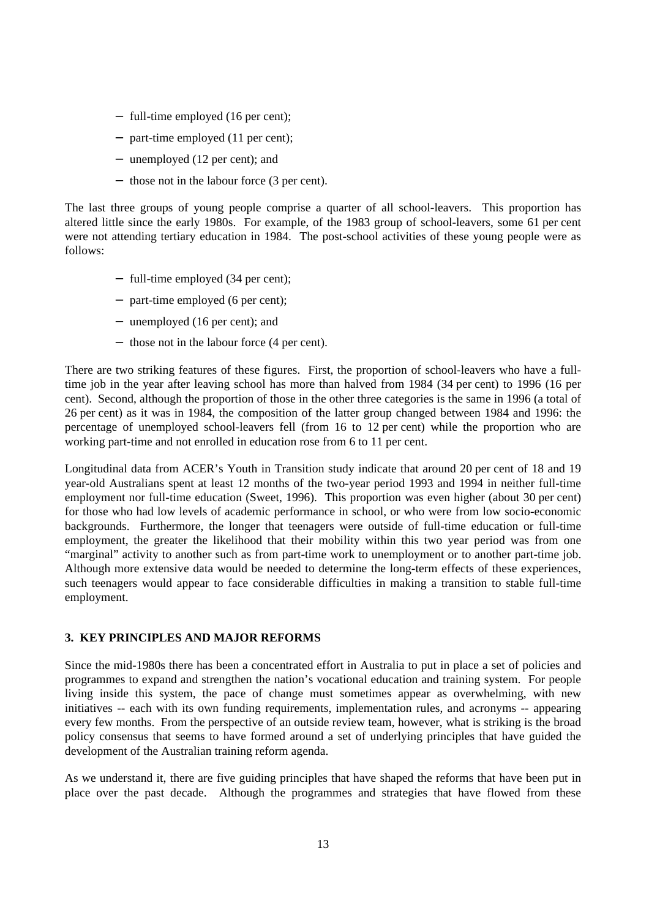- − full-time employed (16 per cent);
- − part-time employed (11 per cent);
- − unemployed (12 per cent); and
- − those not in the labour force (3 per cent).

The last three groups of young people comprise a quarter of all school-leavers. This proportion has altered little since the early 1980s. For example, of the 1983 group of school-leavers, some 61 per cent were not attending tertiary education in 1984. The post-school activities of these young people were as follows:

- − full-time employed (34 per cent);
- − part-time employed (6 per cent);
- − unemployed (16 per cent); and
- − those not in the labour force (4 per cent).

There are two striking features of these figures. First, the proportion of school-leavers who have a fulltime job in the year after leaving school has more than halved from 1984 (34 per cent) to 1996 (16 per cent). Second, although the proportion of those in the other three categories is the same in 1996 (a total of 26 per cent) as it was in 1984, the composition of the latter group changed between 1984 and 1996: the percentage of unemployed school-leavers fell (from 16 to 12 per cent) while the proportion who are working part-time and not enrolled in education rose from 6 to 11 per cent.

Longitudinal data from ACER's Youth in Transition study indicate that around 20 per cent of 18 and 19 year-old Australians spent at least 12 months of the two-year period 1993 and 1994 in neither full-time employment nor full-time education (Sweet, 1996). This proportion was even higher (about 30 per cent) for those who had low levels of academic performance in school, or who were from low socio-economic backgrounds. Furthermore, the longer that teenagers were outside of full-time education or full-time employment, the greater the likelihood that their mobility within this two year period was from one "marginal" activity to another such as from part-time work to unemployment or to another part-time job. Although more extensive data would be needed to determine the long-term effects of these experiences, such teenagers would appear to face considerable difficulties in making a transition to stable full-time employment.

# **3. KEY PRINCIPLES AND MAJOR REFORMS**

Since the mid-1980s there has been a concentrated effort in Australia to put in place a set of policies and programmes to expand and strengthen the nation's vocational education and training system. For people living inside this system, the pace of change must sometimes appear as overwhelming, with new initiatives -- each with its own funding requirements, implementation rules, and acronyms -- appearing every few months. From the perspective of an outside review team, however, what is striking is the broad policy consensus that seems to have formed around a set of underlying principles that have guided the development of the Australian training reform agenda.

As we understand it, there are five guiding principles that have shaped the reforms that have been put in place over the past decade. Although the programmes and strategies that have flowed from these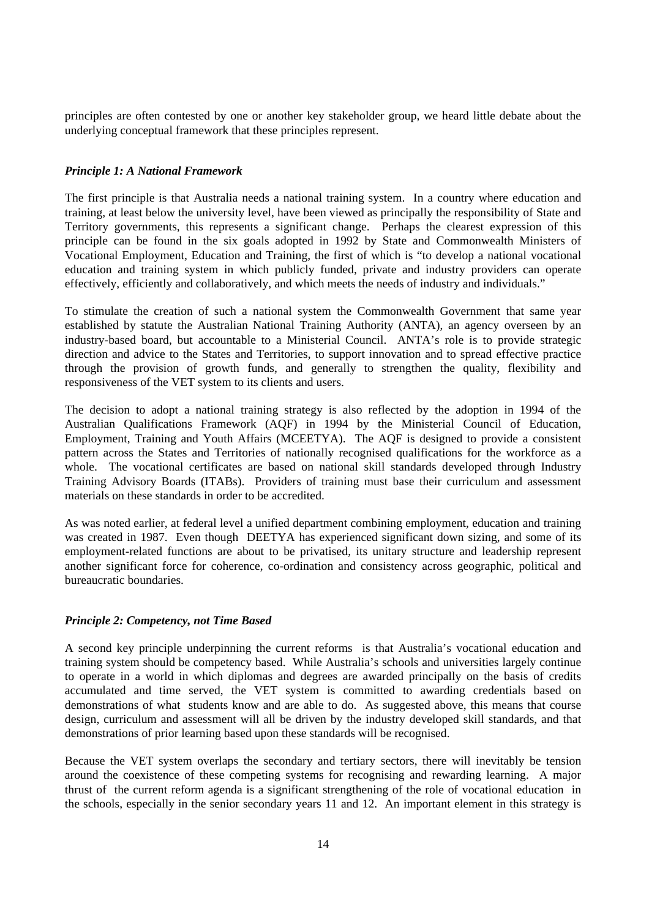principles are often contested by one or another key stakeholder group, we heard little debate about the underlying conceptual framework that these principles represent.

## *Principle 1: A National Framework*

The first principle is that Australia needs a national training system. In a country where education and training, at least below the university level, have been viewed as principally the responsibility of State and Territory governments, this represents a significant change. Perhaps the clearest expression of this principle can be found in the six goals adopted in 1992 by State and Commonwealth Ministers of Vocational Employment, Education and Training, the first of which is "to develop a national vocational education and training system in which publicly funded, private and industry providers can operate effectively, efficiently and collaboratively, and which meets the needs of industry and individuals."

To stimulate the creation of such a national system the Commonwealth Government that same year established by statute the Australian National Training Authority (ANTA), an agency overseen by an industry-based board, but accountable to a Ministerial Council. ANTA's role is to provide strategic direction and advice to the States and Territories, to support innovation and to spread effective practice through the provision of growth funds, and generally to strengthen the quality, flexibility and responsiveness of the VET system to its clients and users.

The decision to adopt a national training strategy is also reflected by the adoption in 1994 of the Australian Qualifications Framework (AQF) in 1994 by the Ministerial Council of Education, Employment, Training and Youth Affairs (MCEETYA). The AQF is designed to provide a consistent pattern across the States and Territories of nationally recognised qualifications for the workforce as a whole. The vocational certificates are based on national skill standards developed through Industry Training Advisory Boards (ITABs). Providers of training must base their curriculum and assessment materials on these standards in order to be accredited.

As was noted earlier, at federal level a unified department combining employment, education and training was created in 1987. Even though DEETYA has experienced significant down sizing, and some of its employment-related functions are about to be privatised, its unitary structure and leadership represent another significant force for coherence, co-ordination and consistency across geographic, political and bureaucratic boundaries.

## *Principle 2: Competency, not Time Based*

A second key principle underpinning the current reforms is that Australia's vocational education and training system should be competency based. While Australia's schools and universities largely continue to operate in a world in which diplomas and degrees are awarded principally on the basis of credits accumulated and time served, the VET system is committed to awarding credentials based on demonstrations of what students know and are able to do. As suggested above, this means that course design, curriculum and assessment will all be driven by the industry developed skill standards, and that demonstrations of prior learning based upon these standards will be recognised.

Because the VET system overlaps the secondary and tertiary sectors, there will inevitably be tension around the coexistence of these competing systems for recognising and rewarding learning. A major thrust of the current reform agenda is a significant strengthening of the role of vocational education in the schools, especially in the senior secondary years 11 and 12. An important element in this strategy is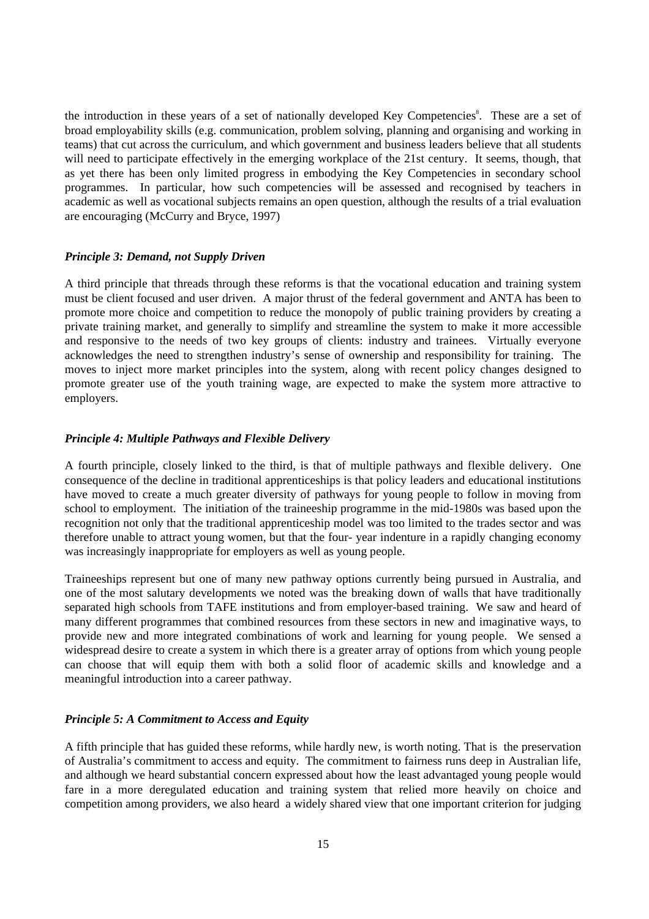the introduction in these years of a set of nationally developed Key Competencies<sup>8</sup>. These are a set of broad employability skills (e.g. communication, problem solving, planning and organising and working in teams) that cut across the curriculum, and which government and business leaders believe that all students will need to participate effectively in the emerging workplace of the 21st century. It seems, though, that as yet there has been only limited progress in embodying the Key Competencies in secondary school programmes. In particular, how such competencies will be assessed and recognised by teachers in academic as well as vocational subjects remains an open question, although the results of a trial evaluation are encouraging (McCurry and Bryce, 1997)

## *Principle 3: Demand, not Supply Driven*

A third principle that threads through these reforms is that the vocational education and training system must be client focused and user driven. A major thrust of the federal government and ANTA has been to promote more choice and competition to reduce the monopoly of public training providers by creating a private training market, and generally to simplify and streamline the system to make it more accessible and responsive to the needs of two key groups of clients: industry and trainees. Virtually everyone acknowledges the need to strengthen industry's sense of ownership and responsibility for training. The moves to inject more market principles into the system, along with recent policy changes designed to promote greater use of the youth training wage, are expected to make the system more attractive to employers.

## *Principle 4: Multiple Pathways and Flexible Delivery*

A fourth principle, closely linked to the third, is that of multiple pathways and flexible delivery. One consequence of the decline in traditional apprenticeships is that policy leaders and educational institutions have moved to create a much greater diversity of pathways for young people to follow in moving from school to employment. The initiation of the traineeship programme in the mid-1980s was based upon the recognition not only that the traditional apprenticeship model was too limited to the trades sector and was therefore unable to attract young women, but that the four- year indenture in a rapidly changing economy was increasingly inappropriate for employers as well as young people.

Traineeships represent but one of many new pathway options currently being pursued in Australia, and one of the most salutary developments we noted was the breaking down of walls that have traditionally separated high schools from TAFE institutions and from employer-based training. We saw and heard of many different programmes that combined resources from these sectors in new and imaginative ways, to provide new and more integrated combinations of work and learning for young people. We sensed a widespread desire to create a system in which there is a greater array of options from which young people can choose that will equip them with both a solid floor of academic skills and knowledge and a meaningful introduction into a career pathway.

## *Principle 5: A Commitment to Access and Equity*

A fifth principle that has guided these reforms, while hardly new, is worth noting. That is the preservation of Australia's commitment to access and equity. The commitment to fairness runs deep in Australian life, and although we heard substantial concern expressed about how the least advantaged young people would fare in a more deregulated education and training system that relied more heavily on choice and competition among providers, we also heard a widely shared view that one important criterion for judging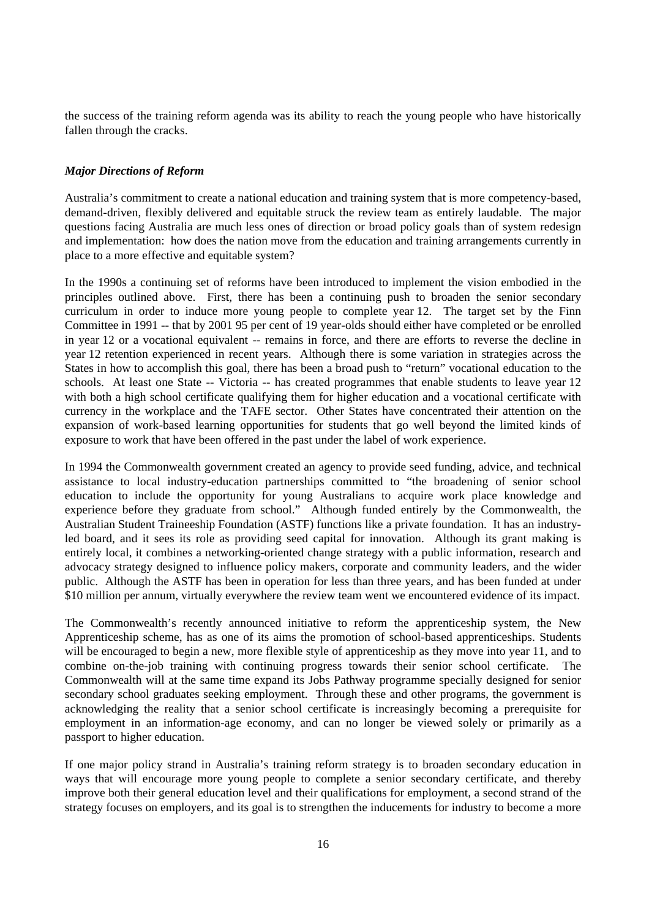the success of the training reform agenda was its ability to reach the young people who have historically fallen through the cracks.

## *Major Directions of Reform*

Australia's commitment to create a national education and training system that is more competency-based, demand-driven, flexibly delivered and equitable struck the review team as entirely laudable. The major questions facing Australia are much less ones of direction or broad policy goals than of system redesign and implementation: how does the nation move from the education and training arrangements currently in place to a more effective and equitable system?

In the 1990s a continuing set of reforms have been introduced to implement the vision embodied in the principles outlined above. First, there has been a continuing push to broaden the senior secondary curriculum in order to induce more young people to complete year 12. The target set by the Finn Committee in 1991 -- that by 2001 95 per cent of 19 year-olds should either have completed or be enrolled in year 12 or a vocational equivalent -- remains in force, and there are efforts to reverse the decline in year 12 retention experienced in recent years. Although there is some variation in strategies across the States in how to accomplish this goal, there has been a broad push to "return" vocational education to the schools. At least one State -- Victoria -- has created programmes that enable students to leave year 12 with both a high school certificate qualifying them for higher education and a vocational certificate with currency in the workplace and the TAFE sector. Other States have concentrated their attention on the expansion of work-based learning opportunities for students that go well beyond the limited kinds of exposure to work that have been offered in the past under the label of work experience.

In 1994 the Commonwealth government created an agency to provide seed funding, advice, and technical assistance to local industry-education partnerships committed to "the broadening of senior school education to include the opportunity for young Australians to acquire work place knowledge and experience before they graduate from school." Although funded entirely by the Commonwealth, the Australian Student Traineeship Foundation (ASTF) functions like a private foundation. It has an industryled board, and it sees its role as providing seed capital for innovation. Although its grant making is entirely local, it combines a networking-oriented change strategy with a public information, research and advocacy strategy designed to influence policy makers, corporate and community leaders, and the wider public. Although the ASTF has been in operation for less than three years, and has been funded at under \$10 million per annum, virtually everywhere the review team went we encountered evidence of its impact.

The Commonwealth's recently announced initiative to reform the apprenticeship system, the New Apprenticeship scheme, has as one of its aims the promotion of school-based apprenticeships. Students will be encouraged to begin a new, more flexible style of apprenticeship as they move into year 11, and to combine on-the-job training with continuing progress towards their senior school certificate. The Commonwealth will at the same time expand its Jobs Pathway programme specially designed for senior secondary school graduates seeking employment. Through these and other programs, the government is acknowledging the reality that a senior school certificate is increasingly becoming a prerequisite for employment in an information-age economy, and can no longer be viewed solely or primarily as a passport to higher education.

If one major policy strand in Australia's training reform strategy is to broaden secondary education in ways that will encourage more young people to complete a senior secondary certificate, and thereby improve both their general education level and their qualifications for employment, a second strand of the strategy focuses on employers, and its goal is to strengthen the inducements for industry to become a more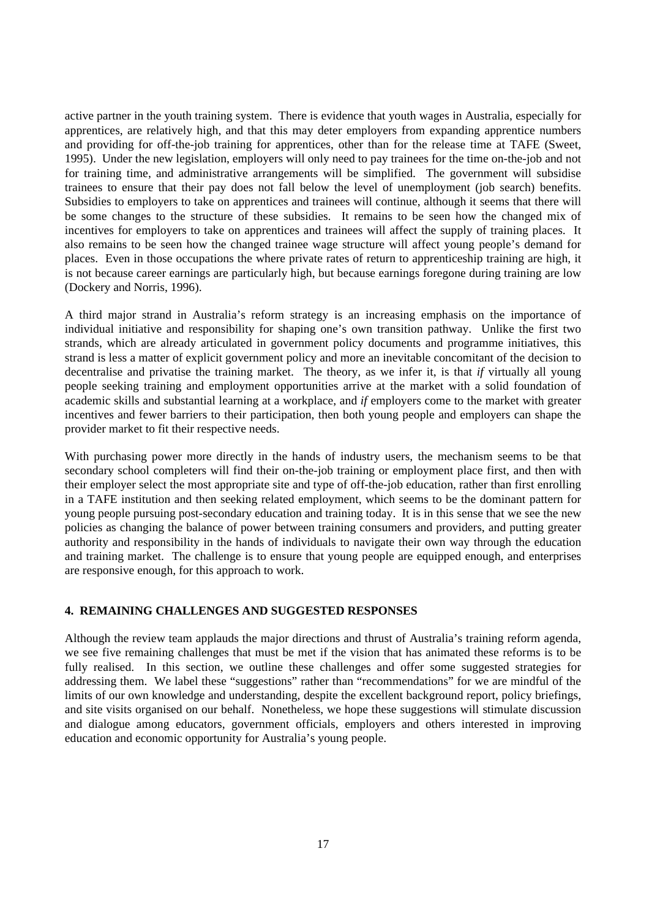active partner in the youth training system. There is evidence that youth wages in Australia, especially for apprentices, are relatively high, and that this may deter employers from expanding apprentice numbers and providing for off-the-job training for apprentices, other than for the release time at TAFE (Sweet, 1995). Under the new legislation, employers will only need to pay trainees for the time on-the-job and not for training time, and administrative arrangements will be simplified. The government will subsidise trainees to ensure that their pay does not fall below the level of unemployment (job search) benefits. Subsidies to employers to take on apprentices and trainees will continue, although it seems that there will be some changes to the structure of these subsidies. It remains to be seen how the changed mix of incentives for employers to take on apprentices and trainees will affect the supply of training places. It also remains to be seen how the changed trainee wage structure will affect young people's demand for places. Even in those occupations the where private rates of return to apprenticeship training are high, it is not because career earnings are particularly high, but because earnings foregone during training are low (Dockery and Norris, 1996).

A third major strand in Australia's reform strategy is an increasing emphasis on the importance of individual initiative and responsibility for shaping one's own transition pathway. Unlike the first two strands, which are already articulated in government policy documents and programme initiatives, this strand is less a matter of explicit government policy and more an inevitable concomitant of the decision to decentralise and privatise the training market. The theory, as we infer it, is that *if* virtually all young people seeking training and employment opportunities arrive at the market with a solid foundation of academic skills and substantial learning at a workplace, and *if* employers come to the market with greater incentives and fewer barriers to their participation, then both young people and employers can shape the provider market to fit their respective needs.

With purchasing power more directly in the hands of industry users, the mechanism seems to be that secondary school completers will find their on-the-job training or employment place first, and then with their employer select the most appropriate site and type of off-the-job education, rather than first enrolling in a TAFE institution and then seeking related employment, which seems to be the dominant pattern for young people pursuing post-secondary education and training today. It is in this sense that we see the new policies as changing the balance of power between training consumers and providers, and putting greater authority and responsibility in the hands of individuals to navigate their own way through the education and training market. The challenge is to ensure that young people are equipped enough, and enterprises are responsive enough, for this approach to work.

## **4. REMAINING CHALLENGES AND SUGGESTED RESPONSES**

Although the review team applauds the major directions and thrust of Australia's training reform agenda, we see five remaining challenges that must be met if the vision that has animated these reforms is to be fully realised. In this section, we outline these challenges and offer some suggested strategies for addressing them. We label these "suggestions" rather than "recommendations" for we are mindful of the limits of our own knowledge and understanding, despite the excellent background report, policy briefings, and site visits organised on our behalf. Nonetheless, we hope these suggestions will stimulate discussion and dialogue among educators, government officials, employers and others interested in improving education and economic opportunity for Australia's young people.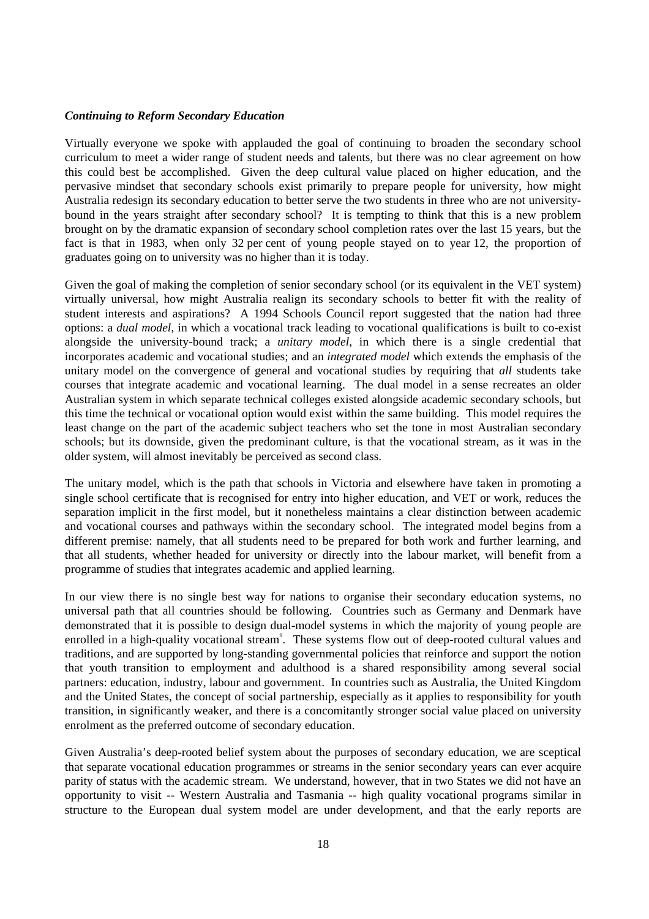## *Continuing to Reform Secondary Education*

Virtually everyone we spoke with applauded the goal of continuing to broaden the secondary school curriculum to meet a wider range of student needs and talents, but there was no clear agreement on how this could best be accomplished. Given the deep cultural value placed on higher education, and the pervasive mindset that secondary schools exist primarily to prepare people for university, how might Australia redesign its secondary education to better serve the two students in three who are not universitybound in the years straight after secondary school? It is tempting to think that this is a new problem brought on by the dramatic expansion of secondary school completion rates over the last 15 years, but the fact is that in 1983, when only 32 per cent of young people stayed on to year 12, the proportion of graduates going on to university was no higher than it is today.

Given the goal of making the completion of senior secondary school (or its equivalent in the VET system) virtually universal, how might Australia realign its secondary schools to better fit with the reality of student interests and aspirations? A 1994 Schools Council report suggested that the nation had three options: a *dual model*, in which a vocational track leading to vocational qualifications is built to co-exist alongside the university-bound track; a *unitary model*, in which there is a single credential that incorporates academic and vocational studies; and an *integrated model* which extends the emphasis of the unitary model on the convergence of general and vocational studies by requiring that *all* students take courses that integrate academic and vocational learning. The dual model in a sense recreates an older Australian system in which separate technical colleges existed alongside academic secondary schools, but this time the technical or vocational option would exist within the same building. This model requires the least change on the part of the academic subject teachers who set the tone in most Australian secondary schools; but its downside, given the predominant culture, is that the vocational stream, as it was in the older system, will almost inevitably be perceived as second class.

The unitary model, which is the path that schools in Victoria and elsewhere have taken in promoting a single school certificate that is recognised for entry into higher education, and VET or work, reduces the separation implicit in the first model, but it nonetheless maintains a clear distinction between academic and vocational courses and pathways within the secondary school. The integrated model begins from a different premise: namely, that all students need to be prepared for both work and further learning, and that all students, whether headed for university or directly into the labour market, will benefit from a programme of studies that integrates academic and applied learning.

In our view there is no single best way for nations to organise their secondary education systems, no universal path that all countries should be following. Countries such as Germany and Denmark have demonstrated that it is possible to design dual-model systems in which the majority of young people are enrolled in a high-quality vocational stream<sup>9</sup>. These systems flow out of deep-rooted cultural values and traditions, and are supported by long-standing governmental policies that reinforce and support the notion that youth transition to employment and adulthood is a shared responsibility among several social partners: education, industry, labour and government. In countries such as Australia, the United Kingdom and the United States, the concept of social partnership, especially as it applies to responsibility for youth transition, in significantly weaker, and there is a concomitantly stronger social value placed on university enrolment as the preferred outcome of secondary education.

Given Australia's deep-rooted belief system about the purposes of secondary education, we are sceptical that separate vocational education programmes or streams in the senior secondary years can ever acquire parity of status with the academic stream. We understand, however, that in two States we did not have an opportunity to visit -- Western Australia and Tasmania -- high quality vocational programs similar in structure to the European dual system model are under development, and that the early reports are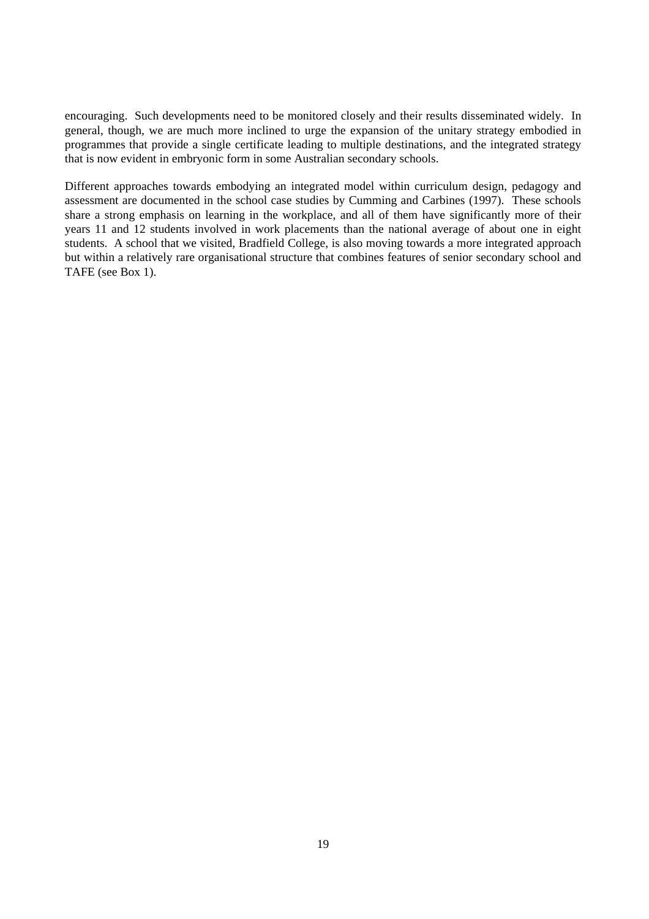encouraging. Such developments need to be monitored closely and their results disseminated widely. In general, though, we are much more inclined to urge the expansion of the unitary strategy embodied in programmes that provide a single certificate leading to multiple destinations, and the integrated strategy that is now evident in embryonic form in some Australian secondary schools.

Different approaches towards embodying an integrated model within curriculum design, pedagogy and assessment are documented in the school case studies by Cumming and Carbines (1997). These schools share a strong emphasis on learning in the workplace, and all of them have significantly more of their years 11 and 12 students involved in work placements than the national average of about one in eight students. A school that we visited, Bradfield College, is also moving towards a more integrated approach but within a relatively rare organisational structure that combines features of senior secondary school and TAFE (see Box 1).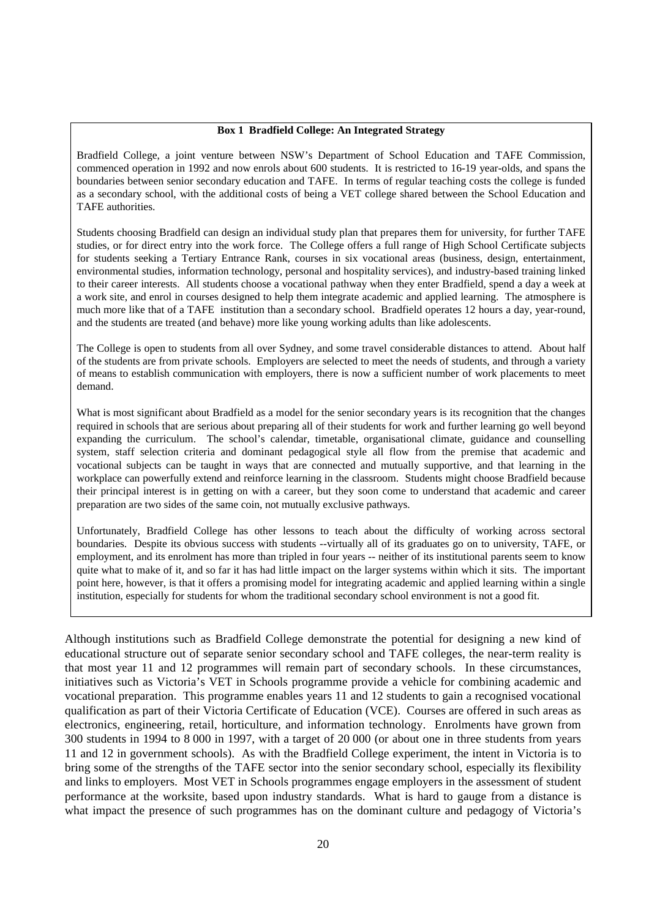#### **Box 1 Bradfield College: An Integrated Strategy**

Bradfield College, a joint venture between NSW's Department of School Education and TAFE Commission, commenced operation in 1992 and now enrols about 600 students. It is restricted to 16-19 year-olds, and spans the boundaries between senior secondary education and TAFE. In terms of regular teaching costs the college is funded as a secondary school, with the additional costs of being a VET college shared between the School Education and TAFE authorities.

Students choosing Bradfield can design an individual study plan that prepares them for university, for further TAFE studies, or for direct entry into the work force. The College offers a full range of High School Certificate subjects for students seeking a Tertiary Entrance Rank, courses in six vocational areas (business, design, entertainment, environmental studies, information technology, personal and hospitality services), and industry-based training linked to their career interests. All students choose a vocational pathway when they enter Bradfield, spend a day a week at a work site, and enrol in courses designed to help them integrate academic and applied learning. The atmosphere is much more like that of a TAFE institution than a secondary school. Bradfield operates 12 hours a day, year-round, and the students are treated (and behave) more like young working adults than like adolescents.

The College is open to students from all over Sydney, and some travel considerable distances to attend. About half of the students are from private schools. Employers are selected to meet the needs of students, and through a variety of means to establish communication with employers, there is now a sufficient number of work placements to meet demand.

What is most significant about Bradfield as a model for the senior secondary years is its recognition that the changes required in schools that are serious about preparing all of their students for work and further learning go well beyond expanding the curriculum. The school's calendar, timetable, organisational climate, guidance and counselling system, staff selection criteria and dominant pedagogical style all flow from the premise that academic and vocational subjects can be taught in ways that are connected and mutually supportive, and that learning in the workplace can powerfully extend and reinforce learning in the classroom. Students might choose Bradfield because their principal interest is in getting on with a career, but they soon come to understand that academic and career preparation are two sides of the same coin, not mutually exclusive pathways.

Unfortunately, Bradfield College has other lessons to teach about the difficulty of working across sectoral boundaries. Despite its obvious success with students --virtually all of its graduates go on to university, TAFE, or employment, and its enrolment has more than tripled in four years -- neither of its institutional parents seem to know quite what to make of it, and so far it has had little impact on the larger systems within which it sits. The important point here, however, is that it offers a promising model for integrating academic and applied learning within a single institution, especially for students for whom the traditional secondary school environment is not a good fit.

Although institutions such as Bradfield College demonstrate the potential for designing a new kind of educational structure out of separate senior secondary school and TAFE colleges, the near-term reality is that most year 11 and 12 programmes will remain part of secondary schools. In these circumstances, initiatives such as Victoria's VET in Schools programme provide a vehicle for combining academic and vocational preparation. This programme enables years 11 and 12 students to gain a recognised vocational qualification as part of their Victoria Certificate of Education (VCE). Courses are offered in such areas as electronics, engineering, retail, horticulture, and information technology. Enrolments have grown from 300 students in 1994 to 8 000 in 1997, with a target of 20 000 (or about one in three students from years 11 and 12 in government schools). As with the Bradfield College experiment, the intent in Victoria is to bring some of the strengths of the TAFE sector into the senior secondary school, especially its flexibility and links to employers. Most VET in Schools programmes engage employers in the assessment of student performance at the worksite, based upon industry standards. What is hard to gauge from a distance is what impact the presence of such programmes has on the dominant culture and pedagogy of Victoria's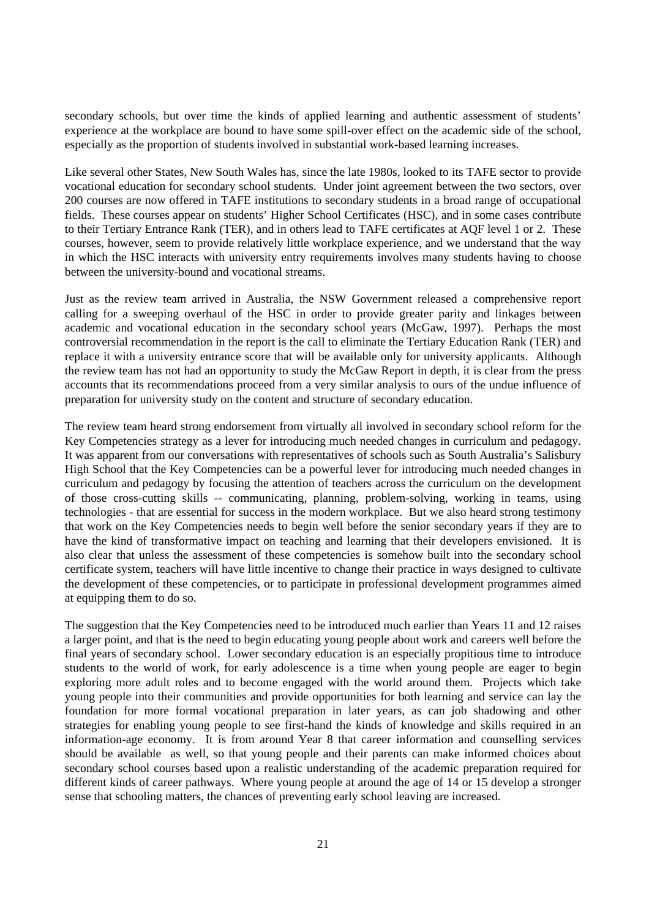secondary schools, but over time the kinds of applied learning and authentic assessment of students' experience at the workplace are bound to have some spill-over effect on the academic side of the school, especially as the proportion of students involved in substantial work-based learning increases.

Like several other States, New South Wales has, since the late 1980s, looked to its TAFE sector to provide vocational education for secondary school students. Under joint agreement between the two sectors, over 200 courses are now offered in TAFE institutions to secondary students in a broad range of occupational fields. These courses appear on students' Higher School Certificates (HSC), and in some cases contribute to their Tertiary Entrance Rank (TER), and in others lead to TAFE certificates at AQF level 1 or 2. These courses, however, seem to provide relatively little workplace experience, and we understand that the way in which the HSC interacts with university entry requirements involves many students having to choose between the university-bound and vocational streams.

Just as the review team arrived in Australia, the NSW Government released a comprehensive report calling for a sweeping overhaul of the HSC in order to provide greater parity and linkages between academic and vocational education in the secondary school years (McGaw, 1997). Perhaps the most controversial recommendation in the report is the call to eliminate the Tertiary Education Rank (TER) and replace it with a university entrance score that will be available only for university applicants. Although the review team has not had an opportunity to study the McGaw Report in depth, it is clear from the press accounts that its recommendations proceed from a very similar analysis to ours of the undue influence of preparation for university study on the content and structure of secondary education.

The review team heard strong endorsement from virtually all involved in secondary school reform for the Key Competencies strategy as a lever for introducing much needed changes in curriculum and pedagogy. It was apparent from our conversations with representatives of schools such as South Australia's Salisbury High School that the Key Competencies can be a powerful lever for introducing much needed changes in curriculum and pedagogy by focusing the attention of teachers across the curriculum on the development of those cross-cutting skills -- communicating, planning, problem-solving, working in teams, using technologies - that are essential for success in the modern workplace. But we also heard strong testimony that work on the Key Competencies needs to begin well before the senior secondary years if they are to have the kind of transformative impact on teaching and learning that their developers envisioned. It is also clear that unless the assessment of these competencies is somehow built into the secondary school certificate system, teachers will have little incentive to change their practice in ways designed to cultivate the development of these competencies, or to participate in professional development programmes aimed at equipping them to do so.

The suggestion that the Key Competencies need to be introduced much earlier than Years 11 and 12 raises a larger point, and that is the need to begin educating young people about work and careers well before the final years of secondary school. Lower secondary education is an especially propitious time to introduce students to the world of work, for early adolescence is a time when young people are eager to begin exploring more adult roles and to become engaged with the world around them. Projects which take young people into their communities and provide opportunities for both learning and service can lay the foundation for more formal vocational preparation in later years, as can job shadowing and other strategies for enabling young people to see first-hand the kinds of knowledge and skills required in an information-age economy. It is from around Year 8 that career information and counselling services should be available as well, so that young people and their parents can make informed choices about secondary school courses based upon a realistic understanding of the academic preparation required for different kinds of career pathways. Where young people at around the age of 14 or 15 develop a stronger sense that schooling matters, the chances of preventing early school leaving are increased.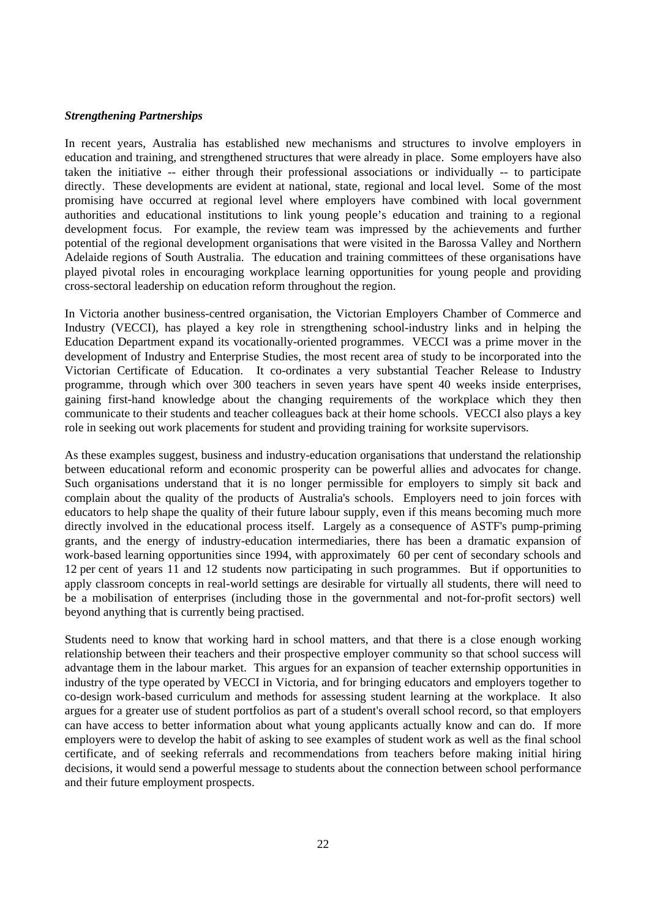## *Strengthening Partnerships*

In recent years, Australia has established new mechanisms and structures to involve employers in education and training, and strengthened structures that were already in place. Some employers have also taken the initiative -- either through their professional associations or individually -- to participate directly. These developments are evident at national, state, regional and local level. Some of the most promising have occurred at regional level where employers have combined with local government authorities and educational institutions to link young people's education and training to a regional development focus. For example, the review team was impressed by the achievements and further potential of the regional development organisations that were visited in the Barossa Valley and Northern Adelaide regions of South Australia. The education and training committees of these organisations have played pivotal roles in encouraging workplace learning opportunities for young people and providing cross-sectoral leadership on education reform throughout the region.

In Victoria another business-centred organisation, the Victorian Employers Chamber of Commerce and Industry (VECCI), has played a key role in strengthening school-industry links and in helping the Education Department expand its vocationally-oriented programmes. VECCI was a prime mover in the development of Industry and Enterprise Studies, the most recent area of study to be incorporated into the Victorian Certificate of Education. It co-ordinates a very substantial Teacher Release to Industry programme, through which over 300 teachers in seven years have spent 40 weeks inside enterprises, gaining first-hand knowledge about the changing requirements of the workplace which they then communicate to their students and teacher colleagues back at their home schools. VECCI also plays a key role in seeking out work placements for student and providing training for worksite supervisors.

As these examples suggest, business and industry-education organisations that understand the relationship between educational reform and economic prosperity can be powerful allies and advocates for change. Such organisations understand that it is no longer permissible for employers to simply sit back and complain about the quality of the products of Australia's schools. Employers need to join forces with educators to help shape the quality of their future labour supply, even if this means becoming much more directly involved in the educational process itself. Largely as a consequence of ASTF's pump-priming grants, and the energy of industry-education intermediaries, there has been a dramatic expansion of work-based learning opportunities since 1994, with approximately 60 per cent of secondary schools and 12 per cent of years 11 and 12 students now participating in such programmes. But if opportunities to apply classroom concepts in real-world settings are desirable for virtually all students, there will need to be a mobilisation of enterprises (including those in the governmental and not-for-profit sectors) well beyond anything that is currently being practised.

Students need to know that working hard in school matters, and that there is a close enough working relationship between their teachers and their prospective employer community so that school success will advantage them in the labour market. This argues for an expansion of teacher externship opportunities in industry of the type operated by VECCI in Victoria, and for bringing educators and employers together to co-design work-based curriculum and methods for assessing student learning at the workplace. It also argues for a greater use of student portfolios as part of a student's overall school record, so that employers can have access to better information about what young applicants actually know and can do. If more employers were to develop the habit of asking to see examples of student work as well as the final school certificate, and of seeking referrals and recommendations from teachers before making initial hiring decisions, it would send a powerful message to students about the connection between school performance and their future employment prospects.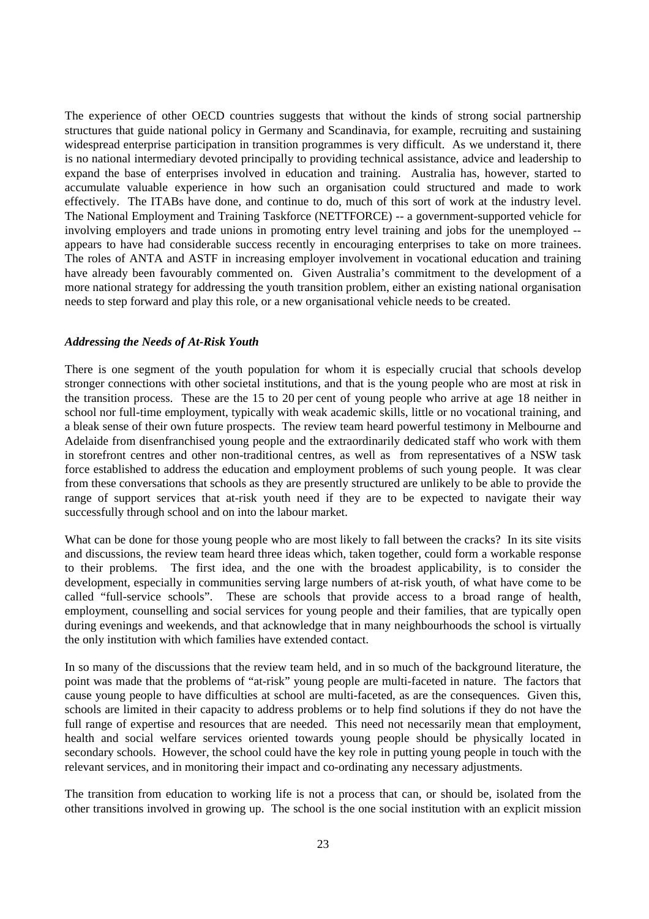The experience of other OECD countries suggests that without the kinds of strong social partnership structures that guide national policy in Germany and Scandinavia, for example, recruiting and sustaining widespread enterprise participation in transition programmes is very difficult. As we understand it, there is no national intermediary devoted principally to providing technical assistance, advice and leadership to expand the base of enterprises involved in education and training. Australia has, however, started to accumulate valuable experience in how such an organisation could structured and made to work effectively. The ITABs have done, and continue to do, much of this sort of work at the industry level. The National Employment and Training Taskforce (NETTFORCE) -- a government-supported vehicle for involving employers and trade unions in promoting entry level training and jobs for the unemployed - appears to have had considerable success recently in encouraging enterprises to take on more trainees. The roles of ANTA and ASTF in increasing employer involvement in vocational education and training have already been favourably commented on. Given Australia's commitment to the development of a more national strategy for addressing the youth transition problem, either an existing national organisation needs to step forward and play this role, or a new organisational vehicle needs to be created.

#### *Addressing the Needs of At-Risk Youth*

There is one segment of the youth population for whom it is especially crucial that schools develop stronger connections with other societal institutions, and that is the young people who are most at risk in the transition process. These are the 15 to 20 per cent of young people who arrive at age 18 neither in school nor full-time employment, typically with weak academic skills, little or no vocational training, and a bleak sense of their own future prospects. The review team heard powerful testimony in Melbourne and Adelaide from disenfranchised young people and the extraordinarily dedicated staff who work with them in storefront centres and other non-traditional centres, as well as from representatives of a NSW task force established to address the education and employment problems of such young people. It was clear from these conversations that schools as they are presently structured are unlikely to be able to provide the range of support services that at-risk youth need if they are to be expected to navigate their way successfully through school and on into the labour market.

What can be done for those young people who are most likely to fall between the cracks? In its site visits and discussions, the review team heard three ideas which, taken together, could form a workable response to their problems. The first idea, and the one with the broadest applicability, is to consider the development, especially in communities serving large numbers of at-risk youth, of what have come to be called "full-service schools". These are schools that provide access to a broad range of health, employment, counselling and social services for young people and their families, that are typically open during evenings and weekends, and that acknowledge that in many neighbourhoods the school is virtually the only institution with which families have extended contact.

In so many of the discussions that the review team held, and in so much of the background literature, the point was made that the problems of "at-risk" young people are multi-faceted in nature. The factors that cause young people to have difficulties at school are multi-faceted, as are the consequences. Given this, schools are limited in their capacity to address problems or to help find solutions if they do not have the full range of expertise and resources that are needed. This need not necessarily mean that employment, health and social welfare services oriented towards young people should be physically located in secondary schools. However, the school could have the key role in putting young people in touch with the relevant services, and in monitoring their impact and co-ordinating any necessary adjustments.

The transition from education to working life is not a process that can, or should be, isolated from the other transitions involved in growing up. The school is the one social institution with an explicit mission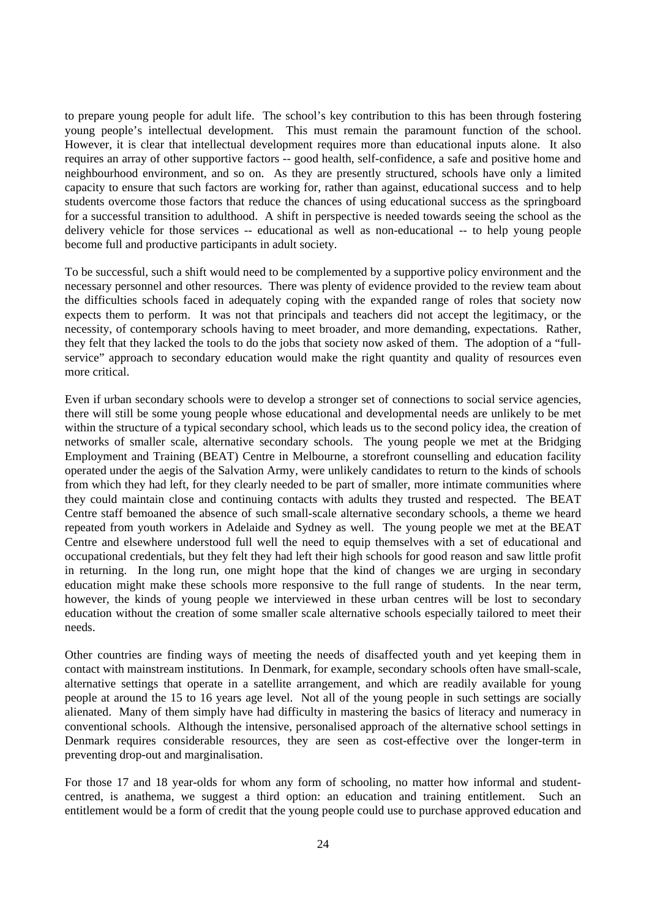to prepare young people for adult life. The school's key contribution to this has been through fostering young people's intellectual development. This must remain the paramount function of the school. However, it is clear that intellectual development requires more than educational inputs alone. It also requires an array of other supportive factors -- good health, self-confidence, a safe and positive home and neighbourhood environment, and so on. As they are presently structured, schools have only a limited capacity to ensure that such factors are working for, rather than against, educational success and to help students overcome those factors that reduce the chances of using educational success as the springboard for a successful transition to adulthood. A shift in perspective is needed towards seeing the school as the delivery vehicle for those services -- educational as well as non-educational -- to help young people become full and productive participants in adult society.

To be successful, such a shift would need to be complemented by a supportive policy environment and the necessary personnel and other resources. There was plenty of evidence provided to the review team about the difficulties schools faced in adequately coping with the expanded range of roles that society now expects them to perform. It was not that principals and teachers did not accept the legitimacy, or the necessity, of contemporary schools having to meet broader, and more demanding, expectations. Rather, they felt that they lacked the tools to do the jobs that society now asked of them. The adoption of a "fullservice" approach to secondary education would make the right quantity and quality of resources even more critical.

Even if urban secondary schools were to develop a stronger set of connections to social service agencies, there will still be some young people whose educational and developmental needs are unlikely to be met within the structure of a typical secondary school, which leads us to the second policy idea, the creation of networks of smaller scale, alternative secondary schools. The young people we met at the Bridging Employment and Training (BEAT) Centre in Melbourne, a storefront counselling and education facility operated under the aegis of the Salvation Army, were unlikely candidates to return to the kinds of schools from which they had left, for they clearly needed to be part of smaller, more intimate communities where they could maintain close and continuing contacts with adults they trusted and respected. The BEAT Centre staff bemoaned the absence of such small-scale alternative secondary schools, a theme we heard repeated from youth workers in Adelaide and Sydney as well. The young people we met at the BEAT Centre and elsewhere understood full well the need to equip themselves with a set of educational and occupational credentials, but they felt they had left their high schools for good reason and saw little profit in returning. In the long run, one might hope that the kind of changes we are urging in secondary education might make these schools more responsive to the full range of students. In the near term, however, the kinds of young people we interviewed in these urban centres will be lost to secondary education without the creation of some smaller scale alternative schools especially tailored to meet their needs.

Other countries are finding ways of meeting the needs of disaffected youth and yet keeping them in contact with mainstream institutions. In Denmark, for example, secondary schools often have small-scale, alternative settings that operate in a satellite arrangement, and which are readily available for young people at around the 15 to 16 years age level. Not all of the young people in such settings are socially alienated. Many of them simply have had difficulty in mastering the basics of literacy and numeracy in conventional schools. Although the intensive, personalised approach of the alternative school settings in Denmark requires considerable resources, they are seen as cost-effective over the longer-term in preventing drop-out and marginalisation.

For those 17 and 18 year-olds for whom any form of schooling, no matter how informal and studentcentred, is anathema, we suggest a third option: an education and training entitlement. Such an entitlement would be a form of credit that the young people could use to purchase approved education and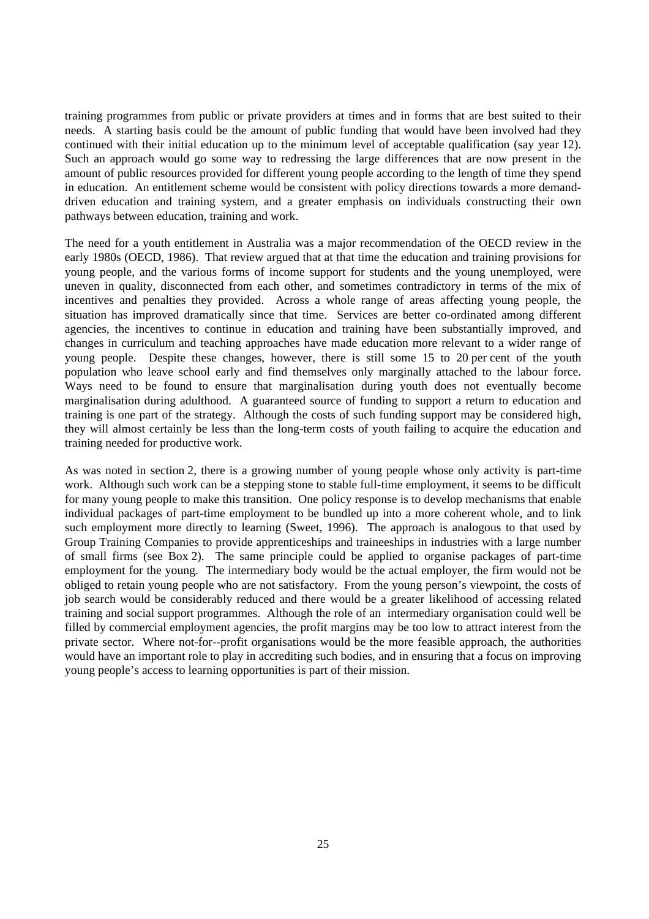training programmes from public or private providers at times and in forms that are best suited to their needs. A starting basis could be the amount of public funding that would have been involved had they continued with their initial education up to the minimum level of acceptable qualification (say year 12). Such an approach would go some way to redressing the large differences that are now present in the amount of public resources provided for different young people according to the length of time they spend in education. An entitlement scheme would be consistent with policy directions towards a more demanddriven education and training system, and a greater emphasis on individuals constructing their own pathways between education, training and work.

The need for a youth entitlement in Australia was a major recommendation of the OECD review in the early 1980s (OECD, 1986). That review argued that at that time the education and training provisions for young people, and the various forms of income support for students and the young unemployed, were uneven in quality, disconnected from each other, and sometimes contradictory in terms of the mix of incentives and penalties they provided. Across a whole range of areas affecting young people, the situation has improved dramatically since that time. Services are better co-ordinated among different agencies, the incentives to continue in education and training have been substantially improved, and changes in curriculum and teaching approaches have made education more relevant to a wider range of young people. Despite these changes, however, there is still some 15 to 20 per cent of the youth population who leave school early and find themselves only marginally attached to the labour force. Ways need to be found to ensure that marginalisation during youth does not eventually become marginalisation during adulthood. A guaranteed source of funding to support a return to education and training is one part of the strategy. Although the costs of such funding support may be considered high, they will almost certainly be less than the long-term costs of youth failing to acquire the education and training needed for productive work.

As was noted in section 2, there is a growing number of young people whose only activity is part-time work. Although such work can be a stepping stone to stable full-time employment, it seems to be difficult for many young people to make this transition. One policy response is to develop mechanisms that enable individual packages of part-time employment to be bundled up into a more coherent whole, and to link such employment more directly to learning (Sweet, 1996). The approach is analogous to that used by Group Training Companies to provide apprenticeships and traineeships in industries with a large number of small firms (see Box 2). The same principle could be applied to organise packages of part-time employment for the young. The intermediary body would be the actual employer, the firm would not be obliged to retain young people who are not satisfactory. From the young person's viewpoint, the costs of job search would be considerably reduced and there would be a greater likelihood of accessing related training and social support programmes. Although the role of an intermediary organisation could well be filled by commercial employment agencies, the profit margins may be too low to attract interest from the private sector. Where not-for--profit organisations would be the more feasible approach, the authorities would have an important role to play in accrediting such bodies, and in ensuring that a focus on improving young people's access to learning opportunities is part of their mission.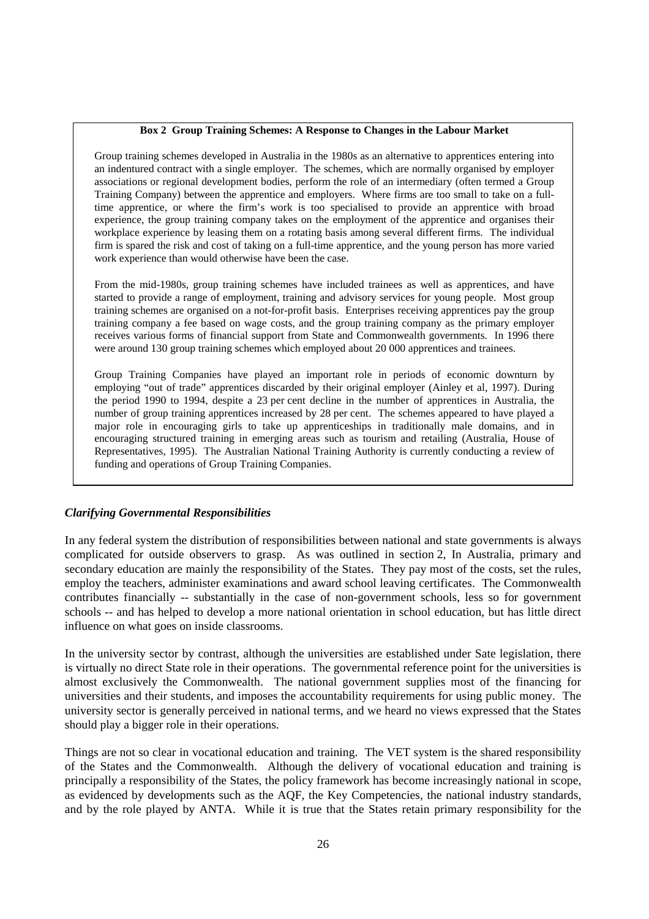#### **Box 2 Group Training Schemes: A Response to Changes in the Labour Market**

Group training schemes developed in Australia in the 1980s as an alternative to apprentices entering into an indentured contract with a single employer. The schemes, which are normally organised by employer associations or regional development bodies, perform the role of an intermediary (often termed a Group Training Company) between the apprentice and employers. Where firms are too small to take on a fulltime apprentice, or where the firm's work is too specialised to provide an apprentice with broad experience, the group training company takes on the employment of the apprentice and organises their workplace experience by leasing them on a rotating basis among several different firms. The individual firm is spared the risk and cost of taking on a full-time apprentice, and the young person has more varied work experience than would otherwise have been the case.

From the mid-1980s, group training schemes have included trainees as well as apprentices, and have started to provide a range of employment, training and advisory services for young people. Most group training schemes are organised on a not-for-profit basis. Enterprises receiving apprentices pay the group training company a fee based on wage costs, and the group training company as the primary employer receives various forms of financial support from State and Commonwealth governments. In 1996 there were around 130 group training schemes which employed about 20 000 apprentices and trainees.

Group Training Companies have played an important role in periods of economic downturn by employing "out of trade" apprentices discarded by their original employer (Ainley et al, 1997). During the period 1990 to 1994, despite a 23 per cent decline in the number of apprentices in Australia, the number of group training apprentices increased by 28 per cent. The schemes appeared to have played a major role in encouraging girls to take up apprenticeships in traditionally male domains, and in encouraging structured training in emerging areas such as tourism and retailing (Australia, House of Representatives, 1995). The Australian National Training Authority is currently conducting a review of funding and operations of Group Training Companies.

## *Clarifying Governmental Responsibilities*

In any federal system the distribution of responsibilities between national and state governments is always complicated for outside observers to grasp. As was outlined in section 2, In Australia, primary and secondary education are mainly the responsibility of the States. They pay most of the costs, set the rules, employ the teachers, administer examinations and award school leaving certificates. The Commonwealth contributes financially -- substantially in the case of non-government schools, less so for government schools -- and has helped to develop a more national orientation in school education, but has little direct influence on what goes on inside classrooms.

In the university sector by contrast, although the universities are established under Sate legislation, there is virtually no direct State role in their operations. The governmental reference point for the universities is almost exclusively the Commonwealth. The national government supplies most of the financing for universities and their students, and imposes the accountability requirements for using public money. The university sector is generally perceived in national terms, and we heard no views expressed that the States should play a bigger role in their operations.

Things are not so clear in vocational education and training. The VET system is the shared responsibility of the States and the Commonwealth. Although the delivery of vocational education and training is principally a responsibility of the States, the policy framework has become increasingly national in scope, as evidenced by developments such as the AQF, the Key Competencies, the national industry standards, and by the role played by ANTA. While it is true that the States retain primary responsibility for the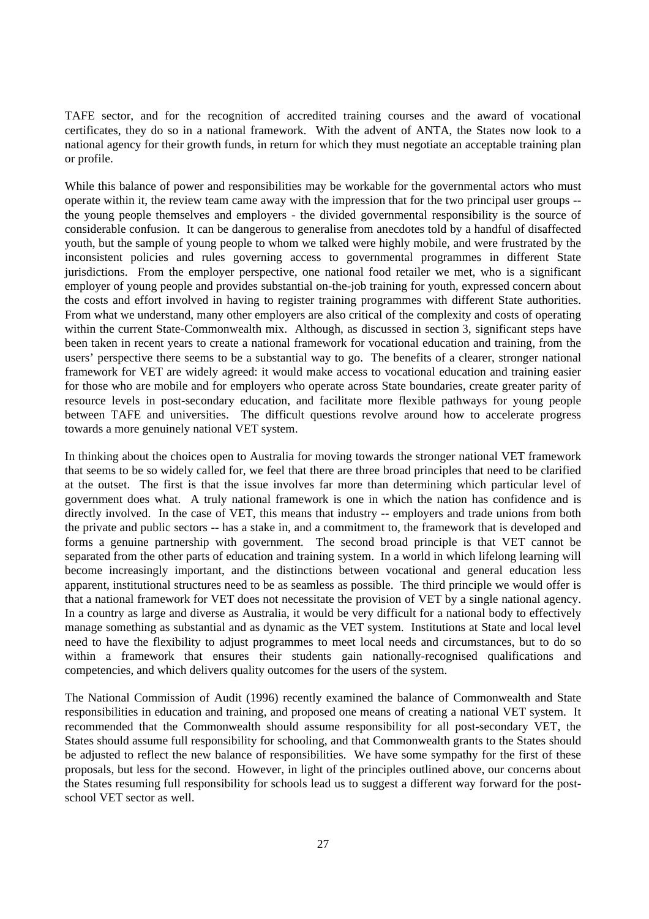TAFE sector, and for the recognition of accredited training courses and the award of vocational certificates, they do so in a national framework. With the advent of ANTA, the States now look to a national agency for their growth funds, in return for which they must negotiate an acceptable training plan or profile.

While this balance of power and responsibilities may be workable for the governmental actors who must operate within it, the review team came away with the impression that for the two principal user groups - the young people themselves and employers - the divided governmental responsibility is the source of considerable confusion. It can be dangerous to generalise from anecdotes told by a handful of disaffected youth, but the sample of young people to whom we talked were highly mobile, and were frustrated by the inconsistent policies and rules governing access to governmental programmes in different State jurisdictions. From the employer perspective, one national food retailer we met, who is a significant employer of young people and provides substantial on-the-job training for youth, expressed concern about the costs and effort involved in having to register training programmes with different State authorities. From what we understand, many other employers are also critical of the complexity and costs of operating within the current State-Commonwealth mix. Although, as discussed in section 3, significant steps have been taken in recent years to create a national framework for vocational education and training, from the users' perspective there seems to be a substantial way to go. The benefits of a clearer, stronger national framework for VET are widely agreed: it would make access to vocational education and training easier for those who are mobile and for employers who operate across State boundaries, create greater parity of resource levels in post-secondary education, and facilitate more flexible pathways for young people between TAFE and universities. The difficult questions revolve around how to accelerate progress towards a more genuinely national VET system.

In thinking about the choices open to Australia for moving towards the stronger national VET framework that seems to be so widely called for, we feel that there are three broad principles that need to be clarified at the outset. The first is that the issue involves far more than determining which particular level of government does what. A truly national framework is one in which the nation has confidence and is directly involved. In the case of VET, this means that industry -- employers and trade unions from both the private and public sectors -- has a stake in, and a commitment to, the framework that is developed and forms a genuine partnership with government. The second broad principle is that VET cannot be separated from the other parts of education and training system. In a world in which lifelong learning will become increasingly important, and the distinctions between vocational and general education less apparent, institutional structures need to be as seamless as possible. The third principle we would offer is that a national framework for VET does not necessitate the provision of VET by a single national agency. In a country as large and diverse as Australia, it would be very difficult for a national body to effectively manage something as substantial and as dynamic as the VET system. Institutions at State and local level need to have the flexibility to adjust programmes to meet local needs and circumstances, but to do so within a framework that ensures their students gain nationally-recognised qualifications and competencies, and which delivers quality outcomes for the users of the system.

The National Commission of Audit (1996) recently examined the balance of Commonwealth and State responsibilities in education and training, and proposed one means of creating a national VET system. It recommended that the Commonwealth should assume responsibility for all post-secondary VET, the States should assume full responsibility for schooling, and that Commonwealth grants to the States should be adjusted to reflect the new balance of responsibilities. We have some sympathy for the first of these proposals, but less for the second. However, in light of the principles outlined above, our concerns about the States resuming full responsibility for schools lead us to suggest a different way forward for the postschool VET sector as well.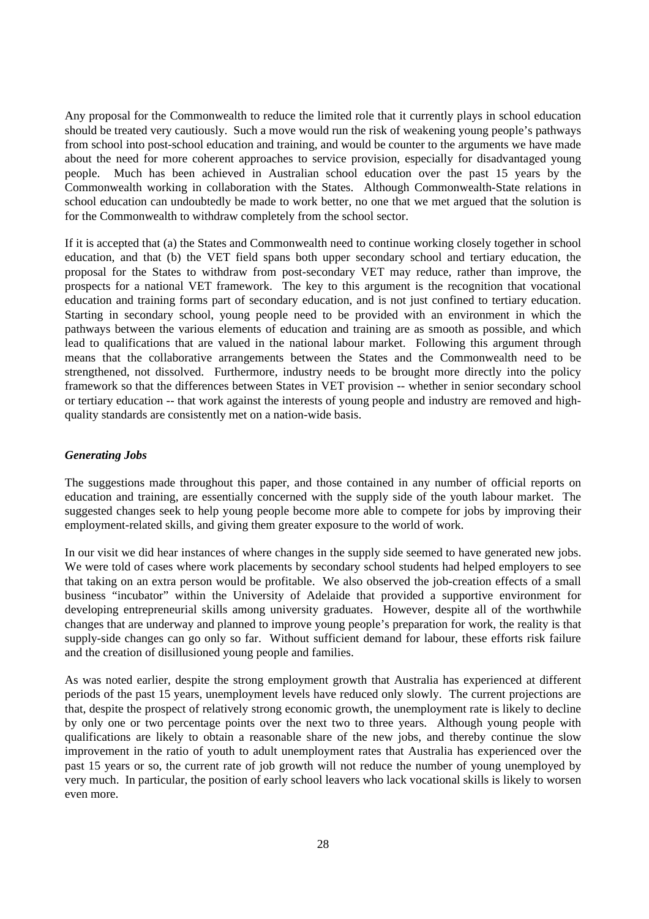Any proposal for the Commonwealth to reduce the limited role that it currently plays in school education should be treated very cautiously. Such a move would run the risk of weakening young people's pathways from school into post-school education and training, and would be counter to the arguments we have made about the need for more coherent approaches to service provision, especially for disadvantaged young people. Much has been achieved in Australian school education over the past 15 years by the Commonwealth working in collaboration with the States. Although Commonwealth-State relations in school education can undoubtedly be made to work better, no one that we met argued that the solution is for the Commonwealth to withdraw completely from the school sector.

If it is accepted that (a) the States and Commonwealth need to continue working closely together in school education, and that (b) the VET field spans both upper secondary school and tertiary education, the proposal for the States to withdraw from post-secondary VET may reduce, rather than improve, the prospects for a national VET framework. The key to this argument is the recognition that vocational education and training forms part of secondary education, and is not just confined to tertiary education. Starting in secondary school, young people need to be provided with an environment in which the pathways between the various elements of education and training are as smooth as possible, and which lead to qualifications that are valued in the national labour market. Following this argument through means that the collaborative arrangements between the States and the Commonwealth need to be strengthened, not dissolved. Furthermore, industry needs to be brought more directly into the policy framework so that the differences between States in VET provision -- whether in senior secondary school or tertiary education -- that work against the interests of young people and industry are removed and highquality standards are consistently met on a nation-wide basis.

## *Generating Jobs*

The suggestions made throughout this paper, and those contained in any number of official reports on education and training, are essentially concerned with the supply side of the youth labour market. The suggested changes seek to help young people become more able to compete for jobs by improving their employment-related skills, and giving them greater exposure to the world of work.

In our visit we did hear instances of where changes in the supply side seemed to have generated new jobs. We were told of cases where work placements by secondary school students had helped employers to see that taking on an extra person would be profitable. We also observed the job-creation effects of a small business "incubator" within the University of Adelaide that provided a supportive environment for developing entrepreneurial skills among university graduates. However, despite all of the worthwhile changes that are underway and planned to improve young people's preparation for work, the reality is that supply-side changes can go only so far. Without sufficient demand for labour, these efforts risk failure and the creation of disillusioned young people and families.

As was noted earlier, despite the strong employment growth that Australia has experienced at different periods of the past 15 years, unemployment levels have reduced only slowly. The current projections are that, despite the prospect of relatively strong economic growth, the unemployment rate is likely to decline by only one or two percentage points over the next two to three years. Although young people with qualifications are likely to obtain a reasonable share of the new jobs, and thereby continue the slow improvement in the ratio of youth to adult unemployment rates that Australia has experienced over the past 15 years or so, the current rate of job growth will not reduce the number of young unemployed by very much. In particular, the position of early school leavers who lack vocational skills is likely to worsen even more.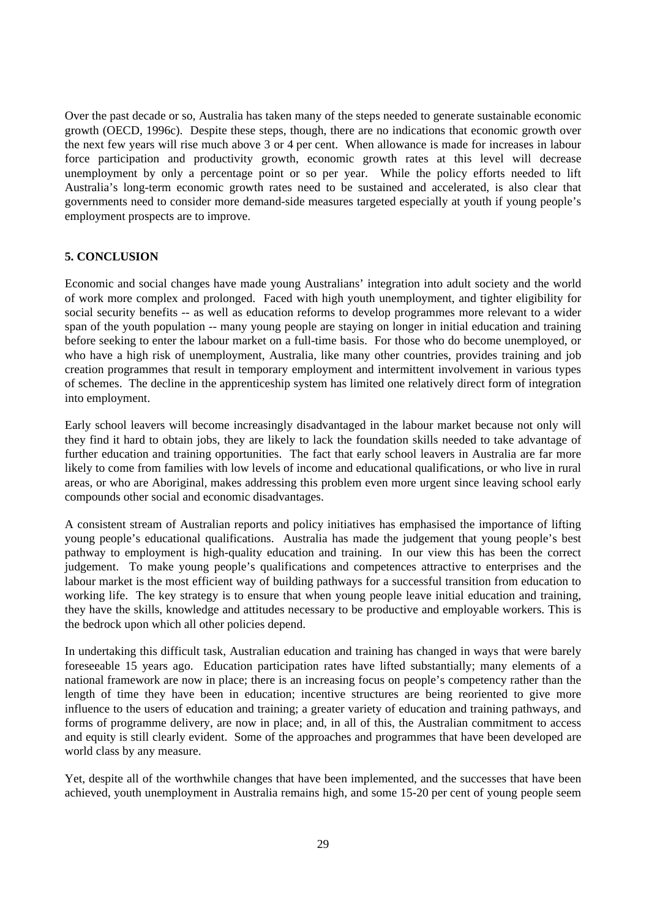Over the past decade or so, Australia has taken many of the steps needed to generate sustainable economic growth (OECD, 1996c). Despite these steps, though, there are no indications that economic growth over the next few years will rise much above 3 or 4 per cent. When allowance is made for increases in labour force participation and productivity growth, economic growth rates at this level will decrease unemployment by only a percentage point or so per year. While the policy efforts needed to lift Australia's long-term economic growth rates need to be sustained and accelerated, is also clear that governments need to consider more demand-side measures targeted especially at youth if young people's employment prospects are to improve.

## **5. CONCLUSION**

Economic and social changes have made young Australians' integration into adult society and the world of work more complex and prolonged. Faced with high youth unemployment, and tighter eligibility for social security benefits -- as well as education reforms to develop programmes more relevant to a wider span of the youth population -- many young people are staying on longer in initial education and training before seeking to enter the labour market on a full-time basis. For those who do become unemployed, or who have a high risk of unemployment, Australia, like many other countries, provides training and job creation programmes that result in temporary employment and intermittent involvement in various types of schemes. The decline in the apprenticeship system has limited one relatively direct form of integration into employment.

Early school leavers will become increasingly disadvantaged in the labour market because not only will they find it hard to obtain jobs, they are likely to lack the foundation skills needed to take advantage of further education and training opportunities. The fact that early school leavers in Australia are far more likely to come from families with low levels of income and educational qualifications, or who live in rural areas, or who are Aboriginal, makes addressing this problem even more urgent since leaving school early compounds other social and economic disadvantages.

A consistent stream of Australian reports and policy initiatives has emphasised the importance of lifting young people's educational qualifications. Australia has made the judgement that young people's best pathway to employment is high-quality education and training. In our view this has been the correct judgement. To make young people's qualifications and competences attractive to enterprises and the labour market is the most efficient way of building pathways for a successful transition from education to working life. The key strategy is to ensure that when young people leave initial education and training, they have the skills, knowledge and attitudes necessary to be productive and employable workers. This is the bedrock upon which all other policies depend.

In undertaking this difficult task, Australian education and training has changed in ways that were barely foreseeable 15 years ago. Education participation rates have lifted substantially; many elements of a national framework are now in place; there is an increasing focus on people's competency rather than the length of time they have been in education; incentive structures are being reoriented to give more influence to the users of education and training; a greater variety of education and training pathways, and forms of programme delivery, are now in place; and, in all of this, the Australian commitment to access and equity is still clearly evident. Some of the approaches and programmes that have been developed are world class by any measure.

Yet, despite all of the worthwhile changes that have been implemented, and the successes that have been achieved, youth unemployment in Australia remains high, and some 15-20 per cent of young people seem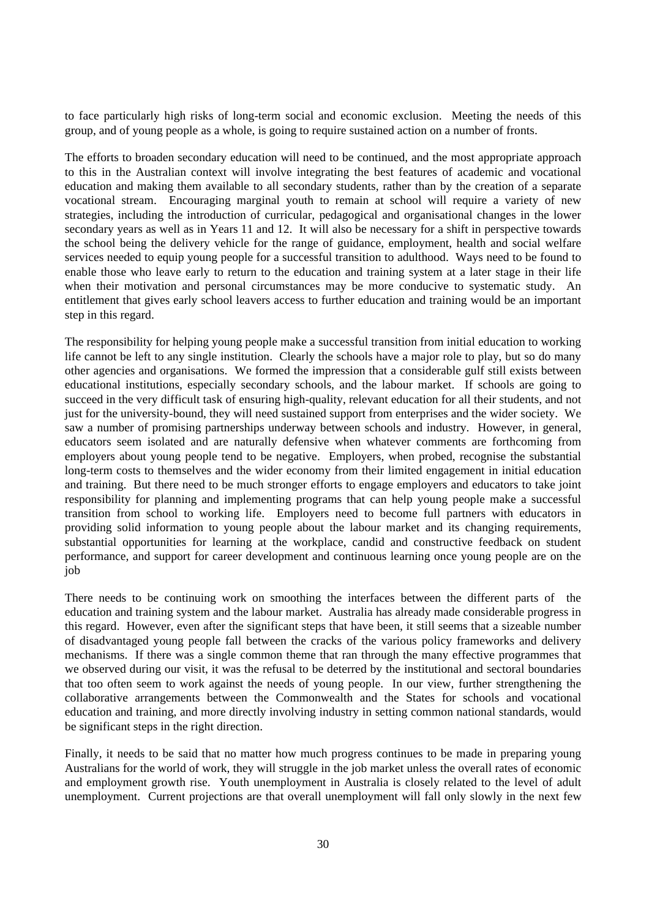to face particularly high risks of long-term social and economic exclusion. Meeting the needs of this group, and of young people as a whole, is going to require sustained action on a number of fronts.

The efforts to broaden secondary education will need to be continued, and the most appropriate approach to this in the Australian context will involve integrating the best features of academic and vocational education and making them available to all secondary students, rather than by the creation of a separate vocational stream. Encouraging marginal youth to remain at school will require a variety of new strategies, including the introduction of curricular, pedagogical and organisational changes in the lower secondary years as well as in Years 11 and 12. It will also be necessary for a shift in perspective towards the school being the delivery vehicle for the range of guidance, employment, health and social welfare services needed to equip young people for a successful transition to adulthood. Ways need to be found to enable those who leave early to return to the education and training system at a later stage in their life when their motivation and personal circumstances may be more conducive to systematic study. An entitlement that gives early school leavers access to further education and training would be an important step in this regard.

The responsibility for helping young people make a successful transition from initial education to working life cannot be left to any single institution. Clearly the schools have a major role to play, but so do many other agencies and organisations. We formed the impression that a considerable gulf still exists between educational institutions, especially secondary schools, and the labour market. If schools are going to succeed in the very difficult task of ensuring high-quality, relevant education for all their students, and not just for the university-bound, they will need sustained support from enterprises and the wider society. We saw a number of promising partnerships underway between schools and industry. However, in general, educators seem isolated and are naturally defensive when whatever comments are forthcoming from employers about young people tend to be negative. Employers, when probed, recognise the substantial long-term costs to themselves and the wider economy from their limited engagement in initial education and training. But there need to be much stronger efforts to engage employers and educators to take joint responsibility for planning and implementing programs that can help young people make a successful transition from school to working life. Employers need to become full partners with educators in providing solid information to young people about the labour market and its changing requirements, substantial opportunities for learning at the workplace, candid and constructive feedback on student performance, and support for career development and continuous learning once young people are on the job

There needs to be continuing work on smoothing the interfaces between the different parts of the education and training system and the labour market. Australia has already made considerable progress in this regard. However, even after the significant steps that have been, it still seems that a sizeable number of disadvantaged young people fall between the cracks of the various policy frameworks and delivery mechanisms. If there was a single common theme that ran through the many effective programmes that we observed during our visit, it was the refusal to be deterred by the institutional and sectoral boundaries that too often seem to work against the needs of young people. In our view, further strengthening the collaborative arrangements between the Commonwealth and the States for schools and vocational education and training, and more directly involving industry in setting common national standards, would be significant steps in the right direction.

Finally, it needs to be said that no matter how much progress continues to be made in preparing young Australians for the world of work, they will struggle in the job market unless the overall rates of economic and employment growth rise. Youth unemployment in Australia is closely related to the level of adult unemployment. Current projections are that overall unemployment will fall only slowly in the next few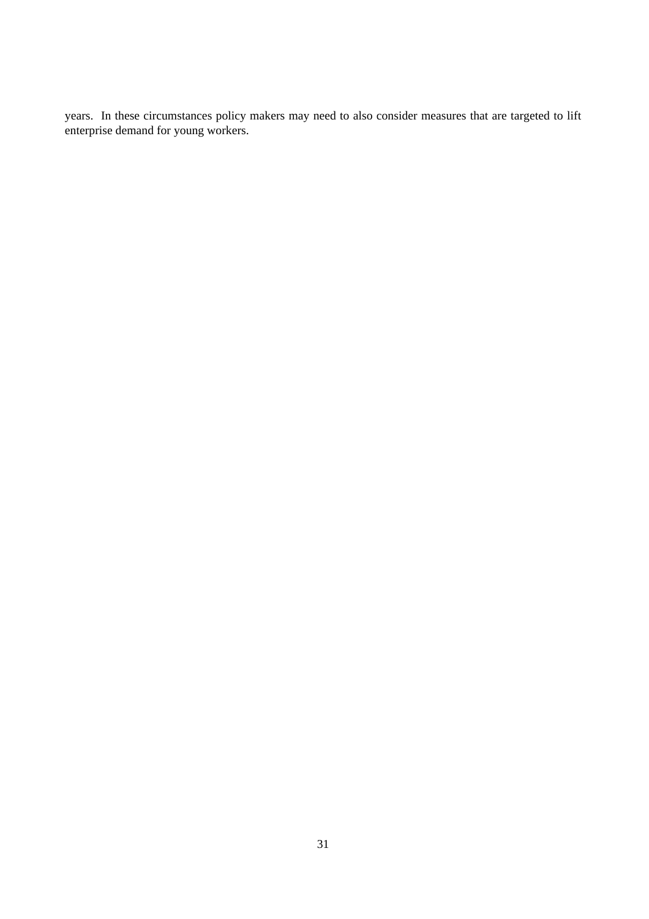years. In these circumstances policy makers may need to also consider measures that are targeted to lift enterprise demand for young workers.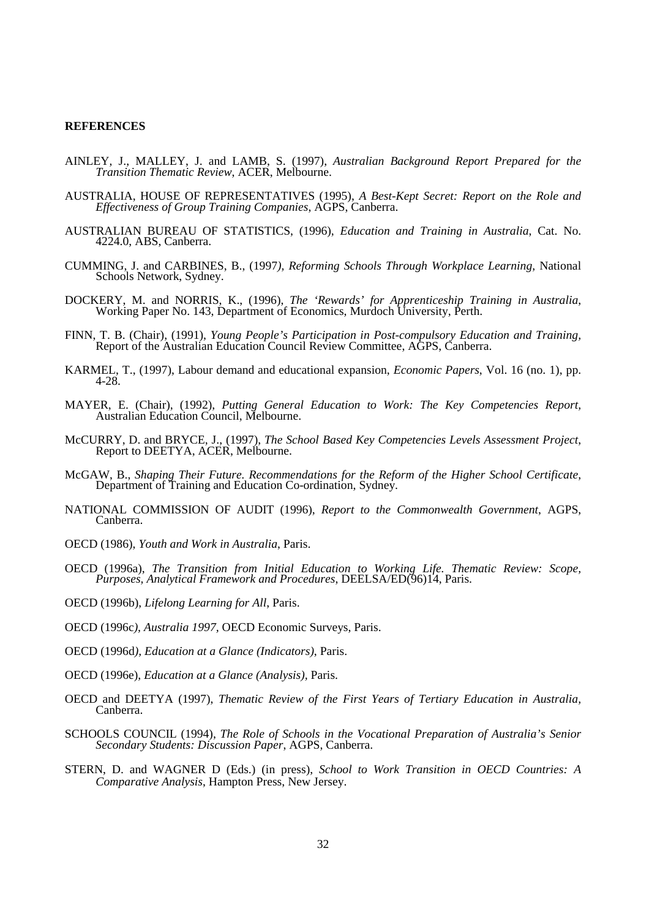#### **REFERENCES**

- AINLEY, J., MALLEY, J. and LAMB, S. (1997), *Australian Background Report Prepared for the Transition Thematic Review*, ACER, Melbourne.
- AUSTRALIA, HOUSE OF REPRESENTATIVES (1995), *A Best-Kept Secret: Report on the Role and Effectiveness of Group Training Companies*, AGPS, Canberra.
- AUSTRALIAN BUREAU OF STATISTICS, (1996), *Education and Training in Australia*, Cat. No. 4224.0, ABS, Canberra.
- CUMMING, J. and CARBINES, B., (1997*), Reforming Schools Through Workplace Learning*, National Schools Network, Sydney.
- DOCKERY, M. and NORRIS, K., (1996), *The 'Rewards' for Apprenticeship Training in Australia*, Working Paper No. 143, Department of Economics, Murdoch University, Perth.
- FINN, T. B. (Chair), (1991), *Young People's Participation in Post-compulsory Education and Training,* Report of the Australian Education Council Review Committee, AGPS, Canberra.
- KARMEL, T., (1997), Labour demand and educational expansion, *Economic Papers*, Vol. 16 (no. 1), pp. 4-28.
- MAYER, E. (Chair), (1992), *Putting General Education to Work: The Key Competencies Report,* Australian Education Council, Melbourne.
- McCURRY, D. and BRYCE, J., (1997), *The School Based Key Competencies Levels Assessment Project*, Report to DEETYA, ACER, Melbourne.
- McGAW, B., *Shaping Their Future. Recommendations for the Reform of the Higher School Certificate*, Department of Training and Education Co-ordination, Sydney.
- NATIONAL COMMISSION OF AUDIT (1996), *Report to the Commonwealth Government*, AGPS, Canberra.
- OECD (1986), *Youth and Work in Australia*, Paris.
- OECD (1996a), *The Transition from Initial Education to Working Life. Thematic Review: Scope, Purposes, Analytical Framework and Procedures*, DEELSA/ED(96)14, Paris.
- OECD (1996b), *Lifelong Learning for All*, Paris.
- OECD (1996c*), Australia 1997,* OECD Economic Surveys, Paris.
- OECD (1996d*), Education at a Glance (Indicators)*, Paris.
- OECD (1996e), *Education at a Glance (Analysis),* Paris.
- OECD and DEETYA (1997), *Thematic Review of the First Years of Tertiary Education in Australia,* Canberra.
- SCHOOLS COUNCIL (1994), *The Role of Schools in the Vocational Preparation of Australia's Senior Secondary Students: Discussion Paper*, AGPS, Canberra.
- STERN, D. and WAGNER D (Eds.) (in press), *School to Work Transition in OECD Countries: A Comparative Analysis*, Hampton Press, New Jersey.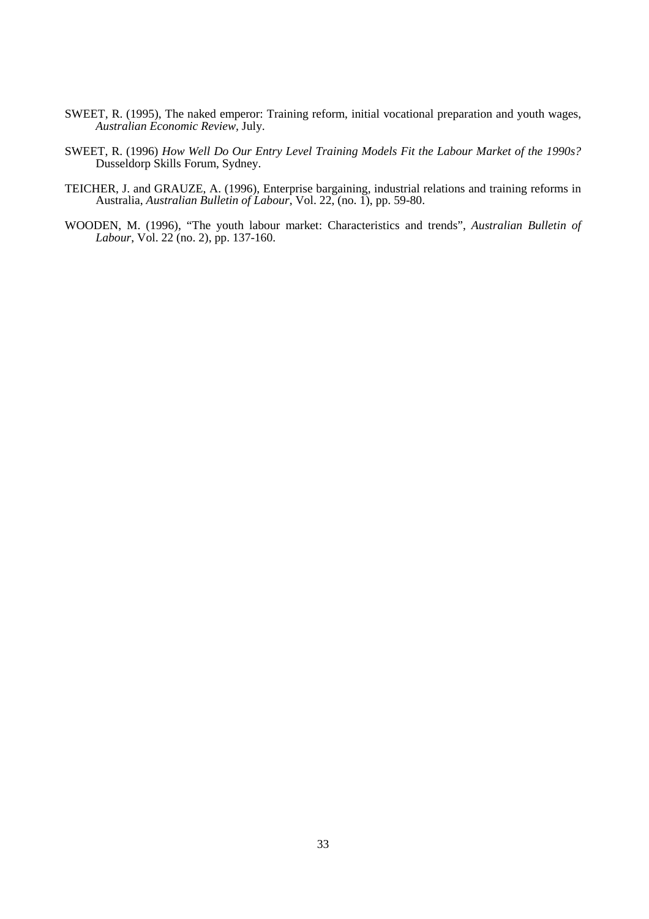- SWEET, R. (1995), The naked emperor: Training reform, initial vocational preparation and youth wages, *Australian Economic Review,* July.
- SWEET, R. (1996) *How Well Do Our Entry Level Training Models Fit the Labour Market of the 1990s?* Dusseldorp Skills Forum, Sydney.
- TEICHER, J. and GRAUZE, A. (1996), Enterprise bargaining, industrial relations and training reforms in Australia, *Australian Bulletin of Labour*, Vol. 22, (no. 1), pp. 59-80.
- WOODEN, M. (1996), "The youth labour market: Characteristics and trends", *Australian Bulletin of Labour*, Vol. 22 (no. 2), pp. 137-160.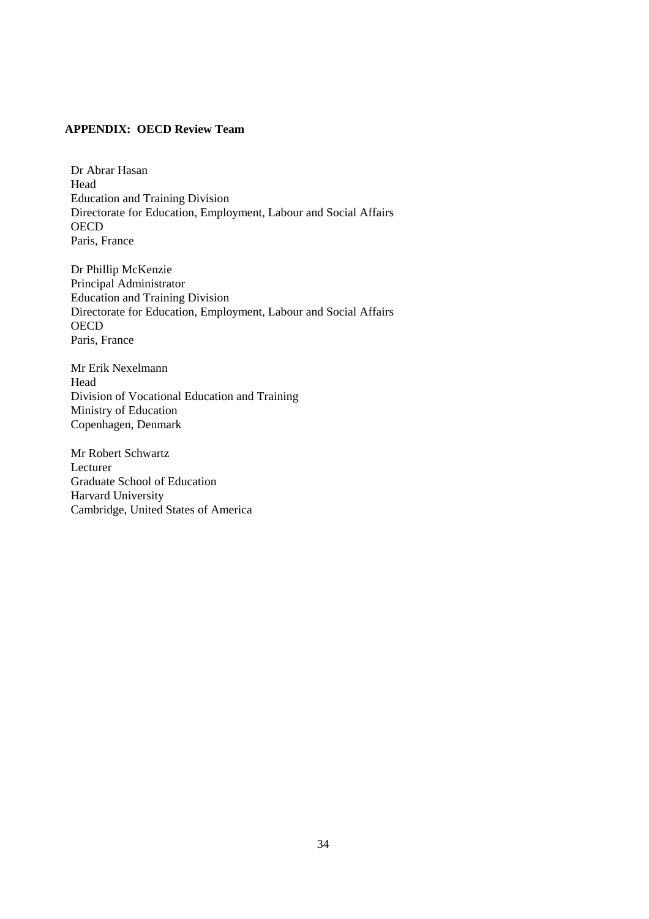## **APPENDIX: OECD Review Team**

Dr Abrar Hasan Head Education and Training Division Directorate for Education, Employment, Labour and Social Affairs **OECD** Paris, France

Dr Phillip McKenzie Principal Administrator Education and Training Division Directorate for Education, Employment, Labour and Social Affairs **OECD** Paris, France

Mr Erik Nexelmann Head Division of Vocational Education and Training Ministry of Education Copenhagen, Denmark

Mr Robert Schwartz Lecturer Graduate School of Education Harvard University Cambridge, United States of America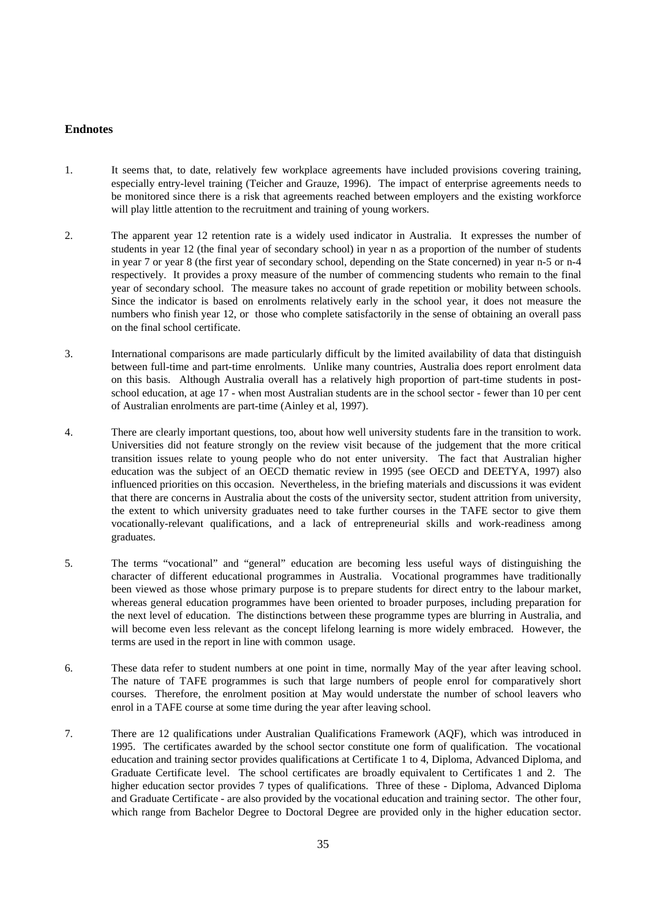## **Endnotes**

- 1. It seems that, to date, relatively few workplace agreements have included provisions covering training, especially entry-level training (Teicher and Grauze, 1996). The impact of enterprise agreements needs to be monitored since there is a risk that agreements reached between employers and the existing workforce will play little attention to the recruitment and training of young workers.
- 2. The apparent year 12 retention rate is a widely used indicator in Australia. It expresses the number of students in year 12 (the final year of secondary school) in year n as a proportion of the number of students in year 7 or year 8 (the first year of secondary school, depending on the State concerned) in year n-5 or n-4 respectively. It provides a proxy measure of the number of commencing students who remain to the final year of secondary school. The measure takes no account of grade repetition or mobility between schools. Since the indicator is based on enrolments relatively early in the school year, it does not measure the numbers who finish year 12, or those who complete satisfactorily in the sense of obtaining an overall pass on the final school certificate.
- 3. International comparisons are made particularly difficult by the limited availability of data that distinguish between full-time and part-time enrolments. Unlike many countries, Australia does report enrolment data on this basis. Although Australia overall has a relatively high proportion of part-time students in postschool education, at age 17 - when most Australian students are in the school sector - fewer than 10 per cent of Australian enrolments are part-time (Ainley et al, 1997).
- 4. There are clearly important questions, too, about how well university students fare in the transition to work. Universities did not feature strongly on the review visit because of the judgement that the more critical transition issues relate to young people who do not enter university. The fact that Australian higher education was the subject of an OECD thematic review in 1995 (see OECD and DEETYA, 1997) also influenced priorities on this occasion. Nevertheless, in the briefing materials and discussions it was evident that there are concerns in Australia about the costs of the university sector, student attrition from university, the extent to which university graduates need to take further courses in the TAFE sector to give them vocationally-relevant qualifications, and a lack of entrepreneurial skills and work-readiness among graduates.
- 5. The terms "vocational" and "general" education are becoming less useful ways of distinguishing the character of different educational programmes in Australia. Vocational programmes have traditionally been viewed as those whose primary purpose is to prepare students for direct entry to the labour market, whereas general education programmes have been oriented to broader purposes, including preparation for the next level of education. The distinctions between these programme types are blurring in Australia, and will become even less relevant as the concept lifelong learning is more widely embraced. However, the terms are used in the report in line with common usage.
- 6. These data refer to student numbers at one point in time, normally May of the year after leaving school. The nature of TAFE programmes is such that large numbers of people enrol for comparatively short courses. Therefore, the enrolment position at May would understate the number of school leavers who enrol in a TAFE course at some time during the year after leaving school.
- 7. There are 12 qualifications under Australian Qualifications Framework (AQF), which was introduced in 1995. The certificates awarded by the school sector constitute one form of qualification. The vocational education and training sector provides qualifications at Certificate 1 to 4, Diploma, Advanced Diploma, and Graduate Certificate level. The school certificates are broadly equivalent to Certificates 1 and 2. The higher education sector provides 7 types of qualifications. Three of these - Diploma, Advanced Diploma and Graduate Certificate - are also provided by the vocational education and training sector. The other four, which range from Bachelor Degree to Doctoral Degree are provided only in the higher education sector.